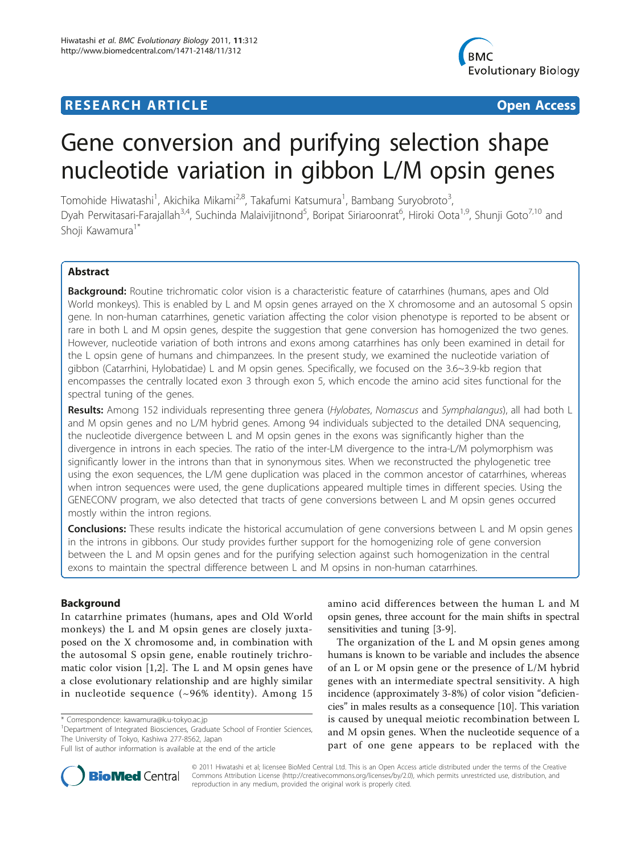## **RESEARCH ARTICLE External Structure Control** Company of the Open Access



# Gene conversion and purifying selection shape nucleotide variation in gibbon L/M opsin genes

Tomohide Hiwatashi<sup>1</sup>, Akichika Mikami<sup>2,8</sup>, Takafumi Katsumura<sup>1</sup>, Bambang Suryobroto<sup>3</sup> , Dyah Perwitasari-Farajallah<sup>3,4</sup>, Suchinda Malaivijitnond<sup>5</sup>, Boripat Siriaroonrat<sup>6</sup>, Hiroki Oota<sup>1,9</sup>, Shunji Goto<sup>7,10</sup> and Shoji Kawamura<sup>1\*</sup>

## Abstract

Background: Routine trichromatic color vision is a characteristic feature of catarrhines (humans, apes and Old World monkeys). This is enabled by L and M opsin genes arrayed on the X chromosome and an autosomal S opsin gene. In non-human catarrhines, genetic variation affecting the color vision phenotype is reported to be absent or rare in both L and M opsin genes, despite the suggestion that gene conversion has homogenized the two genes. However, nucleotide variation of both introns and exons among catarrhines has only been examined in detail for the L opsin gene of humans and chimpanzees. In the present study, we examined the nucleotide variation of gibbon (Catarrhini, Hylobatidae) L and M opsin genes. Specifically, we focused on the 3.6~3.9-kb region that encompasses the centrally located exon 3 through exon 5, which encode the amino acid sites functional for the spectral tuning of the genes.

Results: Among 152 individuals representing three genera (Hylobates, Nomascus and Symphalangus), all had both L and M opsin genes and no L/M hybrid genes. Among 94 individuals subjected to the detailed DNA sequencing, the nucleotide divergence between L and M opsin genes in the exons was significantly higher than the divergence in introns in each species. The ratio of the inter-LM divergence to the intra-L/M polymorphism was significantly lower in the introns than that in synonymous sites. When we reconstructed the phylogenetic tree using the exon sequences, the L/M gene duplication was placed in the common ancestor of catarrhines, whereas when intron sequences were used, the gene duplications appeared multiple times in different species. Using the GENECONV program, we also detected that tracts of gene conversions between L and M opsin genes occurred mostly within the intron regions.

**Conclusions:** These results indicate the historical accumulation of gene conversions between L and M opsin genes in the introns in gibbons. Our study provides further support for the homogenizing role of gene conversion between the L and M opsin genes and for the purifying selection against such homogenization in the central exons to maintain the spectral difference between L and M opsins in non-human catarrhines.

## Background

In catarrhine primates (humans, apes and Old World monkeys) the L and M opsin genes are closely juxtaposed on the X chromosome and, in combination with the autosomal S opsin gene, enable routinely trichromatic color vision [[1,2\]](#page-11-0). The L and M opsin genes have a close evolutionary relationship and are highly similar in nucleotide sequence  $({\sim}96\%$  identity). Among 15



The organization of the L and M opsin genes among humans is known to be variable and includes the absence of an L or M opsin gene or the presence of L/M hybrid genes with an intermediate spectral sensitivity. A high incidence (approximately 3-8%) of color vision "deficiencies" in males results as a consequence [[10](#page-11-0)]. This variation is caused by unequal meiotic recombination between L and M opsin genes. When the nucleotide sequence of a part of one gene appears to be replaced with the



© 2011 Hiwatashi et al; licensee BioMed Central Ltd. This is an Open Access article distributed under the terms of the Creative Commons Attribution License [\(http://creativecommons.org/licenses/by/2.0](http://creativecommons.org/licenses/by/2.0)), which permits unrestricted use, distribution, and reproduction in any medium, provided the original work is properly cited.

<sup>\*</sup> Correspondence: [kawamura@k.u-tokyo.ac.jp](mailto:kawamura@k.u-tokyo.ac.jp)

<sup>&</sup>lt;sup>1</sup>Department of Integrated Biosciences, Graduate School of Frontier Sciences, The University of Tokyo, Kashiwa 277-8562, Japan

Full list of author information is available at the end of the article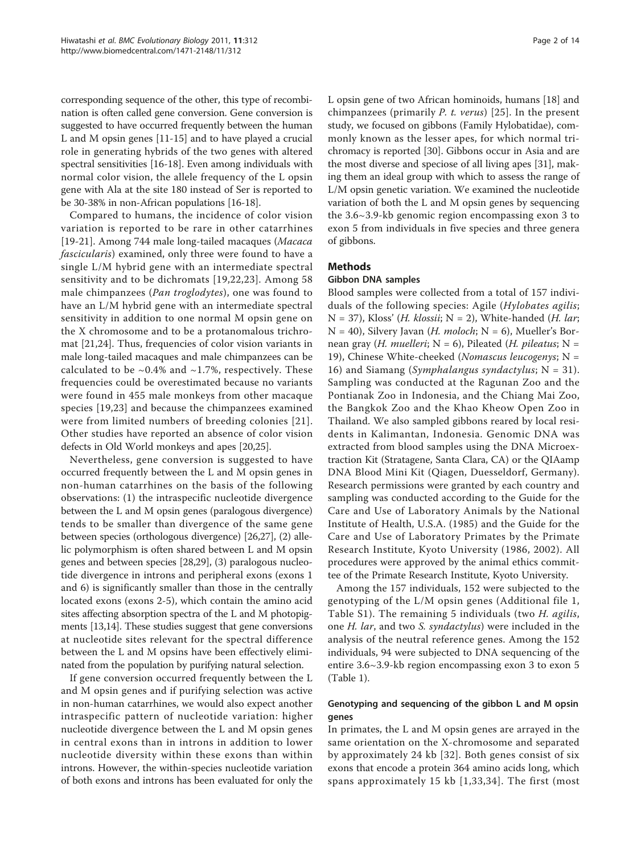corresponding sequence of the other, this type of recombination is often called gene conversion. Gene conversion is suggested to have occurred frequently between the human L and M opsin genes [\[11-15](#page-11-0)] and to have played a crucial role in generating hybrids of the two genes with altered spectral sensitivities [[16-18\]](#page-11-0). Even among individuals with normal color vision, the allele frequency of the L opsin gene with Ala at the site 180 instead of Ser is reported to be 30-38% in non-African populations [[16](#page-11-0)-[18](#page-11-0)].

Compared to humans, the incidence of color vision variation is reported to be rare in other catarrhines [[19-21](#page-11-0)]. Among 744 male long-tailed macaques (Macaca fascicularis) examined, only three were found to have a single L/M hybrid gene with an intermediate spectral sensitivity and to be dichromats [[19,22](#page-11-0),[23](#page-11-0)]. Among 58 male chimpanzees (Pan troglodytes), one was found to have an L/M hybrid gene with an intermediate spectral sensitivity in addition to one normal M opsin gene on the X chromosome and to be a protanomalous trichromat [[21,24\]](#page-11-0). Thus, frequencies of color vision variants in male long-tailed macaques and male chimpanzees can be calculated to be  $\sim 0.4\%$  and  $\sim 1.7\%$ , respectively. These frequencies could be overestimated because no variants were found in 455 male monkeys from other macaque species [[19,23](#page-11-0)] and because the chimpanzees examined were from limited numbers of breeding colonies [[21\]](#page-11-0). Other studies have reported an absence of color vision defects in Old World monkeys and apes [\[20,25\]](#page-11-0).

Nevertheless, gene conversion is suggested to have occurred frequently between the L and M opsin genes in non-human catarrhines on the basis of the following observations: (1) the intraspecific nucleotide divergence between the L and M opsin genes (paralogous divergence) tends to be smaller than divergence of the same gene between species (orthologous divergence) [[26,27](#page-11-0)], (2) allelic polymorphism is often shared between L and M opsin genes and between species [[28,29\]](#page-11-0), (3) paralogous nucleotide divergence in introns and peripheral exons (exons 1 and 6) is significantly smaller than those in the centrally located exons (exons 2-5), which contain the amino acid sites affecting absorption spectra of the L and M photopigments [[13,14\]](#page-11-0). These studies suggest that gene conversions at nucleotide sites relevant for the spectral difference between the L and M opsins have been effectively eliminated from the population by purifying natural selection.

If gene conversion occurred frequently between the L and M opsin genes and if purifying selection was active in non-human catarrhines, we would also expect another intraspecific pattern of nucleotide variation: higher nucleotide divergence between the L and M opsin genes in central exons than in introns in addition to lower nucleotide diversity within these exons than within introns. However, the within-species nucleotide variation of both exons and introns has been evaluated for only the L opsin gene of two African hominoids, humans [[18\]](#page-11-0) and chimpanzees (primarily P. t. verus) [[25\]](#page-11-0). In the present study, we focused on gibbons (Family Hylobatidae), commonly known as the lesser apes, for which normal trichromacy is reported [[30\]](#page-11-0). Gibbons occur in Asia and are the most diverse and speciose of all living apes [[31\]](#page-11-0), making them an ideal group with which to assess the range of L/M opsin genetic variation. We examined the nucleotide variation of both the L and M opsin genes by sequencing the 3.6~3.9-kb genomic region encompassing exon 3 to exon 5 from individuals in five species and three genera of gibbons.

## Methods

#### Gibbon DNA samples

Blood samples were collected from a total of 157 individuals of the following species: Agile (Hylobates agilis;  $N = 37$ ), Kloss' (*H. klossii*;  $N = 2$ ), White-handed (*H. lar*;  $N = 40$ ), Silvery Javan (*H. moloch*;  $N = 6$ ), Mueller's Bornean gray (H. muelleri; N = 6), Pileated (H. pileatus; N = 19), Chinese White-cheeked (Nomascus leucogenys;  $N=$ 16) and Siamang (Symphalangus syndactylus;  $N = 31$ ). Sampling was conducted at the Ragunan Zoo and the Pontianak Zoo in Indonesia, and the Chiang Mai Zoo, the Bangkok Zoo and the Khao Kheow Open Zoo in Thailand. We also sampled gibbons reared by local residents in Kalimantan, Indonesia. Genomic DNA was extracted from blood samples using the DNA Microextraction Kit (Stratagene, Santa Clara, CA) or the QIAamp DNA Blood Mini Kit (Qiagen, Duesseldorf, Germany). Research permissions were granted by each country and sampling was conducted according to the Guide for the Care and Use of Laboratory Animals by the National Institute of Health, U.S.A. (1985) and the Guide for the Care and Use of Laboratory Primates by the Primate Research Institute, Kyoto University (1986, 2002). All procedures were approved by the animal ethics committee of the Primate Research Institute, Kyoto University.

Among the 157 individuals, 152 were subjected to the genotyping of the L/M opsin genes (Additional file [1](#page-10-0), Table S1). The remaining 5 individuals (two *H. agilis,* one H. lar, and two S. syndactylus) were included in the analysis of the neutral reference genes. Among the 152 individuals, 94 were subjected to DNA sequencing of the entire 3.6~3.9-kb region encompassing exon 3 to exon 5 (Table [1](#page-2-0)).

## Genotyping and sequencing of the gibbon L and M opsin genes

In primates, the L and M opsin genes are arrayed in the same orientation on the X-chromosome and separated by approximately 24 kb [[32\]](#page-11-0). Both genes consist of six exons that encode a protein 364 amino acids long, which spans approximately 15 kb [[1,](#page-11-0)[33](#page-12-0),[34](#page-12-0)]. The first (most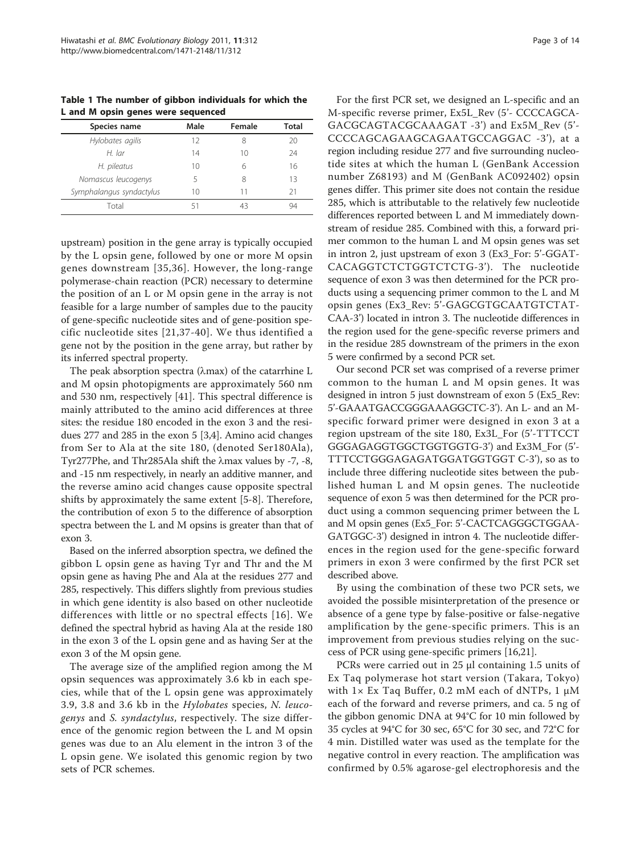<span id="page-2-0"></span>Table 1 The number of gibbon individuals for which the L and M opsin genes were sequenced

| Species name             | Male | Female | Total |
|--------------------------|------|--------|-------|
| Hylobates agilis         | 12   | 8      | 20    |
| $H$ lar                  | 14   | 10     | 24    |
| H. pileatus              | 10   | 6      | 16    |
| Nomascus leucogenys      | 5    | 8      | 13    |
| Symphalangus syndactylus | 10   | 11     | 21    |
| Total                    | 51   | 43     | 94    |

upstream) position in the gene array is typically occupied by the L opsin gene, followed by one or more M opsin genes downstream [[35](#page-12-0),[36](#page-12-0)]. However, the long-range polymerase-chain reaction (PCR) necessary to determine the position of an L or M opsin gene in the array is not feasible for a large number of samples due to the paucity of gene-specific nucleotide sites and of gene-position specific nucleotide sites [[21](#page-11-0),[37](#page-12-0)-[40\]](#page-12-0). We thus identified a gene not by the position in the gene array, but rather by its inferred spectral property.

The peak absorption spectra  $(\lambda max)$  of the catarrhine L and M opsin photopigments are approximately 560 nm and 530 nm, respectively [[41\]](#page-12-0). This spectral difference is mainly attributed to the amino acid differences at three sites: the residue 180 encoded in the exon 3 and the residues 277 and 285 in the exon 5 [\[3,4\]](#page-11-0). Amino acid changes from Ser to Ala at the site 180, (denoted Ser180Ala), Tyr277Phe, and Thr285Ala shift the  $\lambda$ max values by -7, -8, and -15 nm respectively, in nearly an additive manner, and the reverse amino acid changes cause opposite spectral shifts by approximately the same extent [\[5-8\]](#page-11-0). Therefore, the contribution of exon 5 to the difference of absorption spectra between the L and M opsins is greater than that of exon 3.

Based on the inferred absorption spectra, we defined the gibbon L opsin gene as having Tyr and Thr and the M opsin gene as having Phe and Ala at the residues 277 and 285, respectively. This differs slightly from previous studies in which gene identity is also based on other nucleotide differences with little or no spectral effects [[16](#page-11-0)]. We defined the spectral hybrid as having Ala at the reside 180 in the exon 3 of the L opsin gene and as having Ser at the exon 3 of the M opsin gene.

The average size of the amplified region among the M opsin sequences was approximately 3.6 kb in each species, while that of the L opsin gene was approximately 3.9, 3.8 and 3.6 kb in the Hylobates species, N. leucogenys and S. syndactylus, respectively. The size difference of the genomic region between the L and M opsin genes was due to an Alu element in the intron 3 of the L opsin gene. We isolated this genomic region by two sets of PCR schemes.

For the first PCR set, we designed an L-specific and an M-specific reverse primer, Ex5L\_Rev (5'- CCCCAGCA-GACGCAGTACGCAAAGAT -3') and Ex5M\_Rev (5'- CCCCAGCAGAAGCAGAATGCCAGGAC -3'), at a region including residue 277 and five surrounding nucleotide sites at which the human L (GenBank Accession number [Z68193](http://www.ncbi.nih.gov/entrez/query.fcgi?db=Nucleotide&cmd=search&term=Z68193)) and M (GenBank [AC092402](http://www.ncbi.nih.gov/entrez/query.fcgi?db=Nucleotide&cmd=search&term=AC092402)) opsin genes differ. This primer site does not contain the residue 285, which is attributable to the relatively few nucleotide differences reported between L and M immediately downstream of residue 285. Combined with this, a forward primer common to the human L and M opsin genes was set in intron 2, just upstream of exon 3 (Ex3\_For: 5'-GGAT-CACAGGTCTCTGGTCTCTG-3'). The nucleotide sequence of exon 3 was then determined for the PCR products using a sequencing primer common to the L and M opsin genes (Ex3\_Rev: 5'-GAGCGTGCAATGTCTAT-CAA-3') located in intron 3. The nucleotide differences in the region used for the gene-specific reverse primers and in the residue 285 downstream of the primers in the exon 5 were confirmed by a second PCR set.

Our second PCR set was comprised of a reverse primer common to the human L and M opsin genes. It was designed in intron 5 just downstream of exon 5 (Ex5\_Rev: 5'-GAAATGACCGGGAAAGGCTC-3'). An L- and an Mspecific forward primer were designed in exon 3 at a region upstream of the site 180, Ex3L\_For (5'-TTTCCT GGGAGAGGTGGCTGGTGGTG-3') and Ex3M\_For (5'- TTTCCTGGGAGAGATGGATGGTGGT C-3'), so as to include three differing nucleotide sites between the published human L and M opsin genes. The nucleotide sequence of exon 5 was then determined for the PCR product using a common sequencing primer between the L and M opsin genes (Ex5\_For: 5'-CACTCAGGGCTGGAA-GATGGC-3') designed in intron 4. The nucleotide differences in the region used for the gene-specific forward primers in exon 3 were confirmed by the first PCR set described above.

By using the combination of these two PCR sets, we avoided the possible misinterpretation of the presence or absence of a gene type by false-positive or false-negative amplification by the gene-specific primers. This is an improvement from previous studies relying on the success of PCR using gene-specific primers [[16,21\]](#page-11-0).

PCRs were carried out in 25 μl containing 1.5 units of Ex Taq polymerase hot start version (Takara, Tokyo) with  $1 \times$  Ex Taq Buffer, 0.2 mM each of dNTPs, 1  $\mu$ M each of the forward and reverse primers, and ca. 5 ng of the gibbon genomic DNA at 94°C for 10 min followed by 35 cycles at 94°C for 30 sec, 65°C for 30 sec, and 72°C for 4 min. Distilled water was used as the template for the negative control in every reaction. The amplification was confirmed by 0.5% agarose-gel electrophoresis and the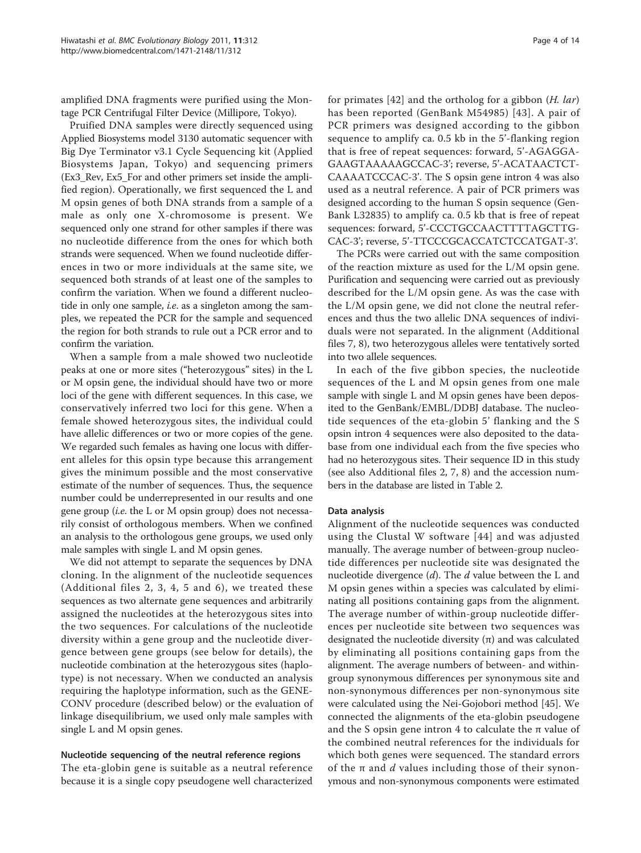amplified DNA fragments were purified using the Montage PCR Centrifugal Filter Device (Millipore, Tokyo).

Pruified DNA samples were directly sequenced using Applied Biosystems model 3130 automatic sequencer with Big Dye Terminator v3.1 Cycle Sequencing kit (Applied Biosystems Japan, Tokyo) and sequencing primers (Ex3\_Rev, Ex5\_For and other primers set inside the amplified region). Operationally, we first sequenced the L and M opsin genes of both DNA strands from a sample of a male as only one X-chromosome is present. We sequenced only one strand for other samples if there was no nucleotide difference from the ones for which both strands were sequenced. When we found nucleotide differences in two or more individuals at the same site, we sequenced both strands of at least one of the samples to confirm the variation. When we found a different nucleotide in only one sample, *i.e.* as a singleton among the samples, we repeated the PCR for the sample and sequenced the region for both strands to rule out a PCR error and to confirm the variation.

When a sample from a male showed two nucleotide peaks at one or more sites ("heterozygous" sites) in the L or M opsin gene, the individual should have two or more loci of the gene with different sequences. In this case, we conservatively inferred two loci for this gene. When a female showed heterozygous sites, the individual could have allelic differences or two or more copies of the gene. We regarded such females as having one locus with different alleles for this opsin type because this arrangement gives the minimum possible and the most conservative estimate of the number of sequences. Thus, the sequence number could be underrepresented in our results and one gene group (i.e. the L or M opsin group) does not necessarily consist of orthologous members. When we confined an analysis to the orthologous gene groups, we used only male samples with single L and M opsin genes.

We did not attempt to separate the sequences by DNA cloning. In the alignment of the nucleotide sequences (Additional files [2](#page-10-0), [3, 4, 5](#page-10-0) and [6\)](#page-10-0), we treated these sequences as two alternate gene sequences and arbitrarily assigned the nucleotides at the heterozygous sites into the two sequences. For calculations of the nucleotide diversity within a gene group and the nucleotide divergence between gene groups (see below for details), the nucleotide combination at the heterozygous sites (haplotype) is not necessary. When we conducted an analysis requiring the haplotype information, such as the GENE-CONV procedure (described below) or the evaluation of linkage disequilibrium, we used only male samples with single L and M opsin genes.

#### Nucleotide sequencing of the neutral reference regions

The eta-globin gene is suitable as a neutral reference because it is a single copy pseudogene well characterized for primates [[42\]](#page-12-0) and the ortholog for a gibbon  $(H. \text{ lar})$ has been reported (GenBank [M54985\)](http://www.ncbi.nih.gov/entrez/query.fcgi?db=Nucleotide&cmd=search&term=M54985) [[43](#page-12-0)]. A pair of PCR primers was designed according to the gibbon sequence to amplify ca. 0.5 kb in the 5'-flanking region that is free of repeat sequences: forward, 5'-AGAGGA-GAAGTAAAAAGCCAC-3'; reverse, 5'-ACATAACTCT-CAAAATCCCAC-3'. The S opsin gene intron 4 was also used as a neutral reference. A pair of PCR primers was designed according to the human S opsin sequence (Gen-Bank [L32835](http://www.ncbi.nih.gov/entrez/query.fcgi?db=Nucleotide&cmd=search&term=L32835)) to amplify ca. 0.5 kb that is free of repeat sequences: forward, 5'-CCCTGCCAACTTTTAGCTTG-CAC-3'; reverse, 5'-TTCCCGCACCATCTCCATGAT-3'.

The PCRs were carried out with the same composition of the reaction mixture as used for the L/M opsin gene. Purification and sequencing were carried out as previously described for the L/M opsin gene. As was the case with the L/M opsin gene, we did not clone the neutral references and thus the two allelic DNA sequences of individuals were not separated. In the alignment (Additional files [7](#page-10-0), [8](#page-11-0)), two heterozygous alleles were tentatively sorted into two allele sequences.

In each of the five gibbon species, the nucleotide sequences of the L and M opsin genes from one male sample with single L and M opsin genes have been deposited to the GenBank/EMBL/DDBJ database. The nucleotide sequences of the eta-globin 5' flanking and the S opsin intron 4 sequences were also deposited to the database from one individual each from the five species who had no heterozygous sites. Their sequence ID in this study (see also Additional files [2, 7,](#page-10-0) [8\)](#page-11-0) and the accession numbers in the database are listed in Table [2](#page-4-0).

#### Data analysis

Alignment of the nucleotide sequences was conducted using the Clustal W software [[44\]](#page-12-0) and was adjusted manually. The average number of between-group nucleotide differences per nucleotide site was designated the nucleotide divergence  $(d)$ . The  $d$  value between the L and M opsin genes within a species was calculated by eliminating all positions containing gaps from the alignment. The average number of within-group nucleotide differences per nucleotide site between two sequences was designated the nucleotide diversity  $(\pi)$  and was calculated by eliminating all positions containing gaps from the alignment. The average numbers of between- and withingroup synonymous differences per synonymous site and non-synonymous differences per non-synonymous site were calculated using the Nei-Gojobori method [\[45](#page-12-0)]. We connected the alignments of the eta-globin pseudogene and the S opsin gene intron 4 to calculate the  $\pi$  value of the combined neutral references for the individuals for which both genes were sequenced. The standard errors of the π and  $d$  values including those of their synonymous and non-synonymous components were estimated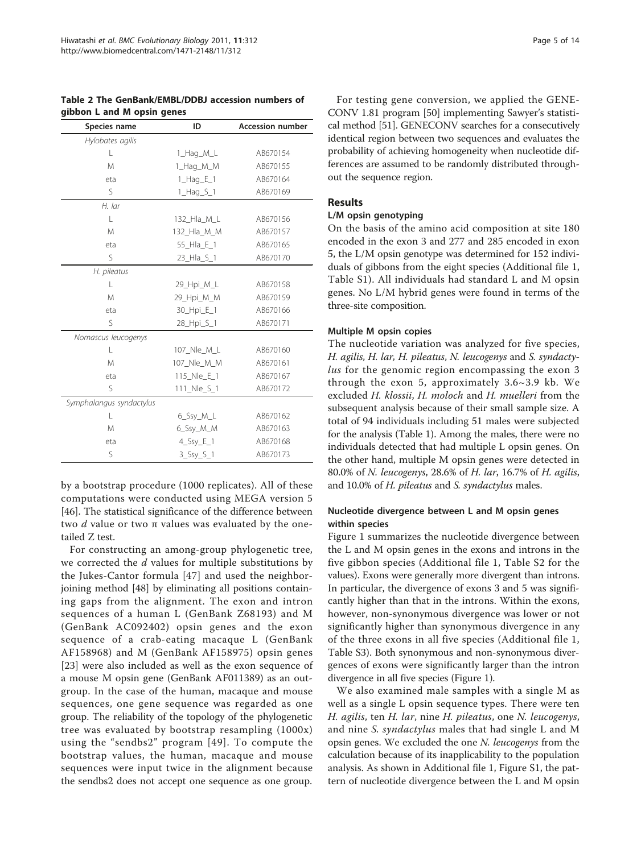| Species name             | ID                      | <b>Accession number</b> |
|--------------------------|-------------------------|-------------------------|
| Hylobates agilis         |                         |                         |
| L                        | 1_Hag_M_L               | AB670154                |
| M                        | 1_Hag_M_M               | AB670155                |
| eta                      | 1_Hag_E_1               | AB670164                |
| S                        | 1_Hag_S_1               | AB670169                |
| H. lar                   |                         |                         |
| L                        | 132_Hla_M_L             | AB670156                |
| M                        | 132_Hla_M_M             | AB670157                |
| eta                      | 55 Hla E 1              | AB670165                |
| S                        | 23_Hla_S_1              | AB670170                |
| H. pileatus              |                         |                         |
| Н                        | 29_Hpi_M_L              | AB670158                |
| M                        | 29_Hpi_M_M              | AB670159                |
| eta                      | 30_Hpi_E_1              | AB670166                |
| S                        | 28_Hpi_S_1              | AB670171                |
| Nomascus leucogenys      |                         |                         |
| Н                        | 107_Nle_M_L             | AB670160                |
| M                        | 107_Nle_M_M             | AB670161                |
| eta                      | 115 Nle E 1             | AB670167                |
| S                        | 111_Nle_S_1             | AB670172                |
| Symphalangus syndactylus |                         |                         |
| L                        | 6_Ssy_M_L               | AB670162                |
| M                        | 6_Ssy_M_M               | AB670163                |
| eta                      | 4_Ssy_E_1               | AB670168                |
| S                        | $3$ <sub>_Ssy_S_1</sub> | AB670173                |

<span id="page-4-0"></span>Table 2 The GenBank/EMBL/DDBJ accession numbers of gibbon L and M opsin genes

by a bootstrap procedure (1000 replicates). All of these computations were conducted using MEGA version 5 [[46\]](#page-12-0). The statistical significance of the difference between two  $d$  value or two π values was evaluated by the onetailed Z test.

For constructing an among-group phylogenetic tree, we corrected the  $d$  values for multiple substitutions by the Jukes-Cantor formula [[47](#page-12-0)] and used the neighborjoining method [[48\]](#page-12-0) by eliminating all positions containing gaps from the alignment. The exon and intron sequences of a human L (GenBank [Z68193\)](http://www.ncbi.nih.gov/entrez/query.fcgi?db=Nucleotide&cmd=search&term=Z68193) and M (GenBank [AC092402](http://www.ncbi.nih.gov/entrez/query.fcgi?db=Nucleotide&cmd=search&term=AC092402)) opsin genes and the exon sequence of a crab-eating macaque L (GenBank [AF158968\)](http://www.ncbi.nih.gov/entrez/query.fcgi?db=Nucleotide&cmd=search&term=AF158968) and M (GenBank [AF158975\)](http://www.ncbi.nih.gov/entrez/query.fcgi?db=Nucleotide&cmd=search&term=AF158975) opsin genes [[23\]](#page-11-0) were also included as well as the exon sequence of a mouse M opsin gene (GenBank [AF011389\)](http://www.ncbi.nih.gov/entrez/query.fcgi?db=Nucleotide&cmd=search&term=AF011389) as an outgroup. In the case of the human, macaque and mouse sequences, one gene sequence was regarded as one group. The reliability of the topology of the phylogenetic tree was evaluated by bootstrap resampling (1000x) using the "sendbs2" program [[49](#page-12-0)]. To compute the bootstrap values, the human, macaque and mouse sequences were input twice in the alignment because the sendbs2 does not accept one sequence as one group.

For testing gene conversion, we applied the GENE-CONV 1.81 program [\[50](#page-12-0)] implementing Sawyer's statistical method [\[51\]](#page-12-0). GENECONV searches for a consecutively identical region between two sequences and evaluates the probability of achieving homogeneity when nucleotide differences are assumed to be randomly distributed throughout the sequence region.

## Results

## L/M opsin genotyping

On the basis of the amino acid composition at site 180 encoded in the exon 3 and 277 and 285 encoded in exon 5, the L/M opsin genotype was determined for 152 individuals of gibbons from the eight species (Additional file [1](#page-10-0), Table S1). All individuals had standard L and M opsin genes. No L/M hybrid genes were found in terms of the three-site composition.

## Multiple M opsin copies

The nucleotide variation was analyzed for five species, H. agilis, H. lar, H. pileatus, N. leucogenys and S. syndactylus for the genomic region encompassing the exon 3 through the exon 5, approximately 3.6~3.9 kb. We excluded H. klossii, H. moloch and H. muelleri from the subsequent analysis because of their small sample size. A total of 94 individuals including 51 males were subjected for the analysis (Table [1](#page-2-0)). Among the males, there were no individuals detected that had multiple L opsin genes. On the other hand, multiple M opsin genes were detected in 80.0% of N. leucogenys, 28.6% of H. lar, 16.7% of H. agilis, and 10.0% of H. pileatus and S. syndactylus males.

## Nucleotide divergence between L and M opsin genes within species

Figure [1](#page-5-0) summarizes the nucleotide divergence between the L and M opsin genes in the exons and introns in the five gibbon species (Additional file [1](#page-10-0), Table S2 for the values). Exons were generally more divergent than introns. In particular, the divergence of exons 3 and 5 was significantly higher than that in the introns. Within the exons, however, non-synonymous divergence was lower or not significantly higher than synonymous divergence in any of the three exons in all five species (Additional file [1](#page-10-0), Table S3). Both synonymous and non-synonymous divergences of exons were significantly larger than the intron divergence in all five species (Figure [1\)](#page-5-0).

We also examined male samples with a single M as well as a single L opsin sequence types. There were ten H. agilis, ten H. lar, nine H. pileatus, one N. leucogenys, and nine S. syndactylus males that had single L and M opsin genes. We excluded the one N. leucogenys from the calculation because of its inapplicability to the population analysis. As shown in Additional file [1](#page-10-0), Figure S1, the pattern of nucleotide divergence between the L and M opsin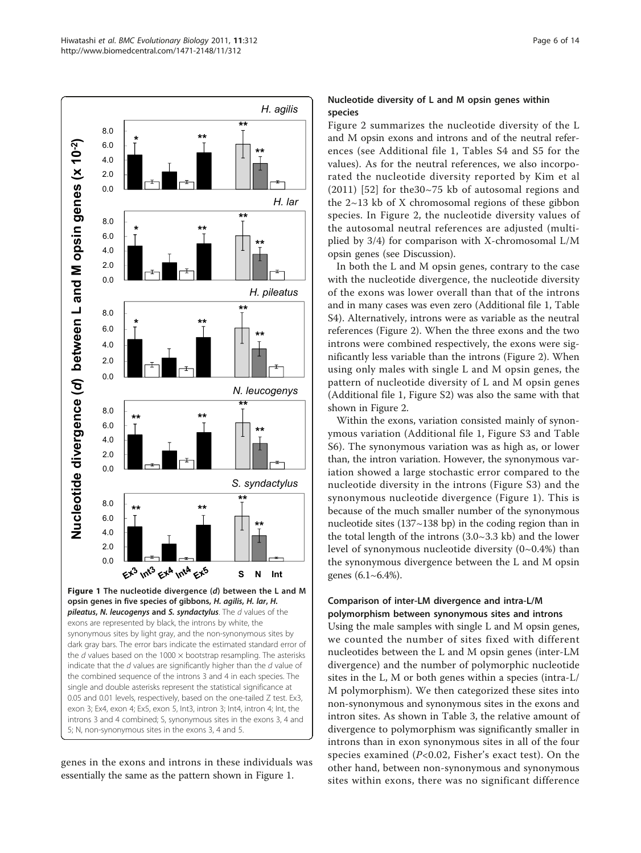<span id="page-5-0"></span>

and M opsin exons and introns and of the neutral references (see Additional file [1,](#page-10-0) Tables S4 and S5 for the

species

values). As for the neutral references, we also incorporated the nucleotide diversity reported by Kim et al  $(2011)$  [[52\]](#page-12-0) for the 30 $\sim$ 75 kb of autosomal regions and the 2~13 kb of X chromosomal regions of these gibbon species. In Figure [2](#page-6-0), the nucleotide diversity values of the autosomal neutral references are adjusted (multiplied by 3/4) for comparison with X-chromosomal L/M opsin genes (see Discussion).

Figure [2](#page-6-0) summarizes the nucleotide diversity of the L

Nucleotide diversity of L and M opsin genes within

In both the L and M opsin genes, contrary to the case with the nucleotide divergence, the nucleotide diversity of the exons was lower overall than that of the introns and in many cases was even zero (Additional file [1,](#page-10-0) Table S4). Alternatively, introns were as variable as the neutral references (Figure [2\)](#page-6-0). When the three exons and the two introns were combined respectively, the exons were significantly less variable than the introns (Figure [2](#page-6-0)). When using only males with single L and M opsin genes, the pattern of nucleotide diversity of L and M opsin genes (Additional file [1,](#page-10-0) Figure S2) was also the same with that shown in Figure [2.](#page-6-0)

Within the exons, variation consisted mainly of synonymous variation (Additional file [1](#page-10-0), Figure S3 and Table S6). The synonymous variation was as high as, or lower than, the intron variation. However, the synonymous variation showed a large stochastic error compared to the nucleotide diversity in the introns (Figure S3) and the synonymous nucleotide divergence (Figure 1). This is because of the much smaller number of the synonymous nucleotide sites (137~138 bp) in the coding region than in the total length of the introns (3.0~3.3 kb) and the lower level of synonymous nucleotide diversity (0~0.4%) than the synonymous divergence between the L and M opsin genes (6.1~6.4%).

#### Comparison of inter-LM divergence and intra-L/M polymorphism between synonymous sites and introns

Using the male samples with single L and M opsin genes, we counted the number of sites fixed with different nucleotides between the L and M opsin genes (inter-LM divergence) and the number of polymorphic nucleotide sites in the L, M or both genes within a species (intra-L/ M polymorphism). We then categorized these sites into non-synonymous and synonymous sites in the exons and intron sites. As shown in Table [3,](#page-6-0) the relative amount of divergence to polymorphism was significantly smaller in introns than in exon synonymous sites in all of the four species examined (P<0.02, Fisher's exact test). On the other hand, between non-synonymous and synonymous sites within exons, there was no significant difference

genes in the exons and introns in these individuals was essentially the same as the pattern shown in Figure 1.

5; N, non-synonymous sites in the exons 3, 4 and 5.

indicate that the  $d$  values are significantly higher than the  $d$  value of the combined sequence of the introns 3 and 4 in each species. The single and double asterisks represent the statistical significance at 0.05 and 0.01 levels, respectively, based on the one-tailed Z test. Ex3, exon 3; Ex4, exon 4; Ex5, exon 5, Int3, intron 3; Int4, intron 4; Int, the introns 3 and 4 combined; S, synonymous sites in the exons 3, 4 and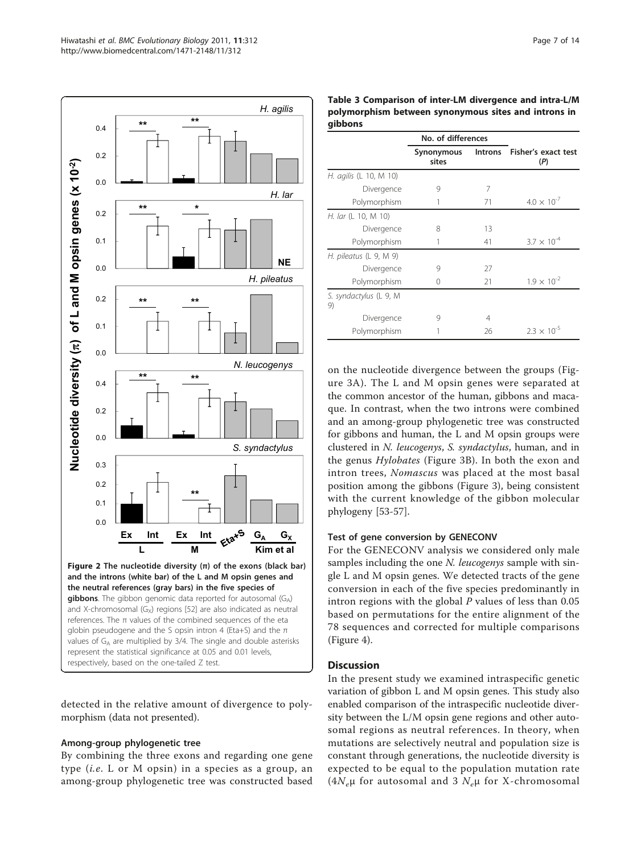<span id="page-6-0"></span>

detected in the relative amount of divergence to polymorphism (data not presented).

#### Among-group phylogenetic tree

By combining the three exons and regarding one gene type (i.e. L or M opsin) in a species as a group, an among-group phylogenetic tree was constructed based Table 3 Comparison of inter-LM divergence and intra-L/M polymorphism between synonymous sites and introns in gibbons

|                              | No. of differences  |    |                                    |
|------------------------------|---------------------|----|------------------------------------|
|                              | Synonymous<br>sites |    | Introns Fisher's exact test<br>(P) |
| H. agilis (L 10, M 10)       |                     |    |                                    |
| Divergence                   | 9                   | 7  |                                    |
| Polymorphism                 | 1                   | 71 | $4.0 \times 10^{-7}$               |
| H. lar (L 10, M 10)          |                     |    |                                    |
| Divergence                   | 8                   | 13 |                                    |
| Polymorphism                 | 1                   | 41 | $3.7 \times 10^{-4}$               |
| H. pileatus (L 9, M 9)       |                     |    |                                    |
| Divergence                   | 9                   | 27 |                                    |
| Polymorphism                 | 0                   | 21 | $1.9 \times 10^{-2}$               |
| S. syndactylus (L 9, M<br>9) |                     |    |                                    |
| Divergence                   | 9                   | 4  |                                    |
| Polymorphism                 |                     | 26 | $2.3 \times 10^{-5}$               |

on the nucleotide divergence between the groups (Figure [3A\)](#page-7-0). The L and M opsin genes were separated at the common ancestor of the human, gibbons and macaque. In contrast, when the two introns were combined and an among-group phylogenetic tree was constructed for gibbons and human, the L and M opsin groups were clustered in N. leucogenys, S. syndactylus, human, and in the genus Hylobates (Figure [3B](#page-7-0)). In both the exon and intron trees, Nomascus was placed at the most basal position among the gibbons (Figure [3](#page-7-0)), being consistent with the current knowledge of the gibbon molecular phylogeny [\[53](#page-12-0)-[57](#page-12-0)].

#### Test of gene conversion by GENECONV

For the GENECONV analysis we considered only male samples including the one N. leucogenys sample with single L and M opsin genes. We detected tracts of the gene conversion in each of the five species predominantly in intron regions with the global P values of less than 0.05 based on permutations for the entire alignment of the 78 sequences and corrected for multiple comparisons (Figure [4](#page-8-0)).

#### **Discussion**

In the present study we examined intraspecific genetic variation of gibbon L and M opsin genes. This study also enabled comparison of the intraspecific nucleotide diversity between the L/M opsin gene regions and other autosomal regions as neutral references. In theory, when mutations are selectively neutral and population size is constant through generations, the nucleotide diversity is expected to be equal to the population mutation rate  $(4N_e\mu)$  for autosomal and 3  $N_e\mu$  for X-chromosomal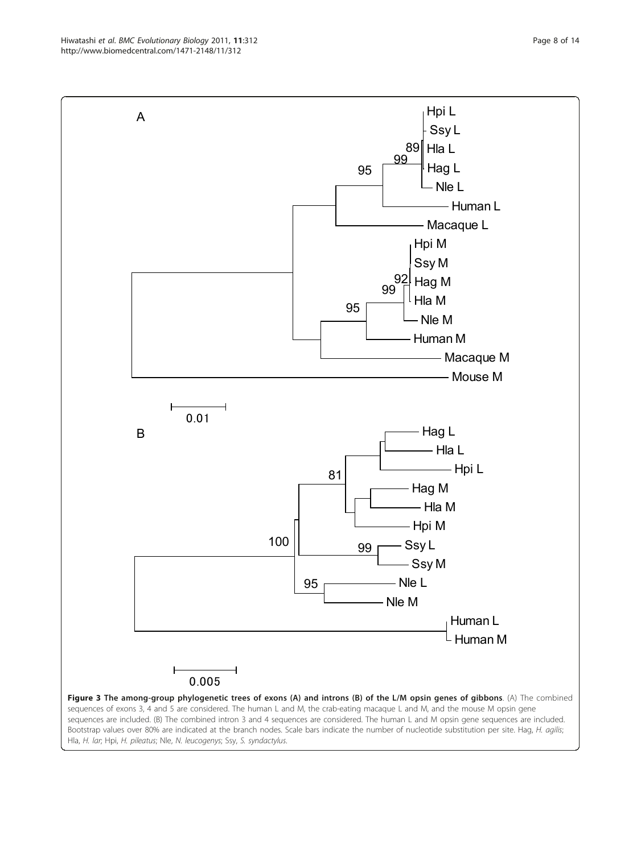<span id="page-7-0"></span>Hiwatashi et al. BMC Evolutionary Biology 2011, 11:312 http://www.biomedcentral.com/1471-2148/11/312

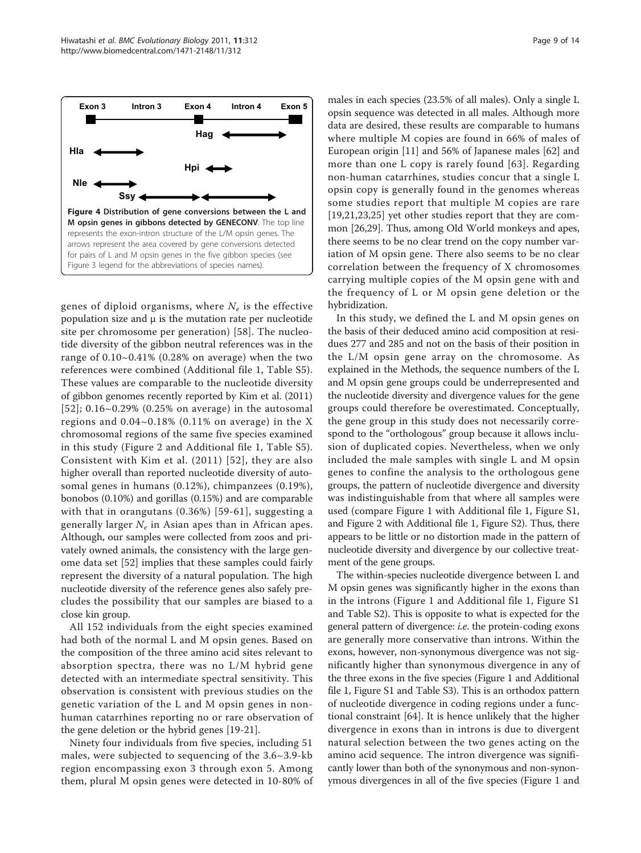<span id="page-8-0"></span>

genes of diploid organisms, where  $N_e$  is the effective population size and μ is the mutation rate per nucleotide site per chromosome per generation) [\[58](#page-12-0)]. The nucleotide diversity of the gibbon neutral references was in the range of 0.10~0.41% (0.28% on average) when the two references were combined (Additional file [1,](#page-10-0) Table S5). These values are comparable to the nucleotide diversity of gibbon genomes recently reported by Kim et al. (2011) [[52\]](#page-12-0);  $0.16~0.29\%$  (0.25% on average) in the autosomal regions and 0.04~0.18% (0.11% on average) in the X chromosomal regions of the same five species examined in this study (Figure [2](#page-6-0) and Additional file [1](#page-10-0), Table S5). Consistent with Kim et al. (2011) [[52](#page-12-0)], they are also higher overall than reported nucleotide diversity of autosomal genes in humans (0.12%), chimpanzees (0.19%), bonobos (0.10%) and gorillas (0.15%) and are comparable with that in orangutans (0.36%) [[59](#page-12-0)-[61\]](#page-12-0), suggesting a generally larger  $N_e$  in Asian apes than in African apes. Although, our samples were collected from zoos and privately owned animals, the consistency with the large genome data set [[52\]](#page-12-0) implies that these samples could fairly represent the diversity of a natural population. The high nucleotide diversity of the reference genes also safely precludes the possibility that our samples are biased to a close kin group.

All 152 individuals from the eight species examined had both of the normal L and M opsin genes. Based on the composition of the three amino acid sites relevant to absorption spectra, there was no L/M hybrid gene detected with an intermediate spectral sensitivity. This observation is consistent with previous studies on the genetic variation of the L and M opsin genes in nonhuman catarrhines reporting no or rare observation of the gene deletion or the hybrid genes [[19](#page-11-0)-[21\]](#page-11-0).

Ninety four individuals from five species, including 51 males, were subjected to sequencing of the 3.6~3.9-kb region encompassing exon 3 through exon 5. Among them, plural M opsin genes were detected in 10-80% of males in each species (23.5% of all males). Only a single L opsin sequence was detected in all males. Although more data are desired, these results are comparable to humans where multiple M copies are found in 66% of males of European origin [[11](#page-11-0)] and 56% of Japanese males [[62\]](#page-12-0) and more than one L copy is rarely found [[63\]](#page-12-0). Regarding non-human catarrhines, studies concur that a single L opsin copy is generally found in the genomes whereas some studies report that multiple M copies are rare [[19,21](#page-11-0),[23](#page-11-0),[25\]](#page-11-0) yet other studies report that they are common [\[26,29\]](#page-11-0). Thus, among Old World monkeys and apes, there seems to be no clear trend on the copy number variation of M opsin gene. There also seems to be no clear correlation between the frequency of X chromosomes carrying multiple copies of the M opsin gene with and the frequency of L or M opsin gene deletion or the hybridization.

In this study, we defined the L and M opsin genes on the basis of their deduced amino acid composition at residues 277 and 285 and not on the basis of their position in the L/M opsin gene array on the chromosome. As explained in the Methods, the sequence numbers of the L and M opsin gene groups could be underrepresented and the nucleotide diversity and divergence values for the gene groups could therefore be overestimated. Conceptually, the gene group in this study does not necessarily correspond to the "orthologous" group because it allows inclusion of duplicated copies. Nevertheless, when we only included the male samples with single L and M opsin genes to confine the analysis to the orthologous gene groups, the pattern of nucleotide divergence and diversity was indistinguishable from that where all samples were used (compare Figure [1](#page-5-0) with Additional file [1](#page-10-0), Figure S1, and Figure [2](#page-6-0) with Additional file [1](#page-10-0), Figure S2). Thus, there appears to be little or no distortion made in the pattern of nucleotide diversity and divergence by our collective treatment of the gene groups.

The within-species nucleotide divergence between L and M opsin genes was significantly higher in the exons than in the introns (Figure [1](#page-5-0) and Additional file [1,](#page-10-0) Figure S1 and Table S2). This is opposite to what is expected for the general pattern of divergence: i.e. the protein-coding exons are generally more conservative than introns. Within the exons, however, non-synonymous divergence was not significantly higher than synonymous divergence in any of the three exons in the five species (Figure [1](#page-5-0) and Additional file [1](#page-10-0), Figure S1 and Table S3). This is an orthodox pattern of nucleotide divergence in coding regions under a functional constraint [\[64](#page-12-0)]. It is hence unlikely that the higher divergence in exons than in introns is due to divergent natural selection between the two genes acting on the amino acid sequence. The intron divergence was significantly lower than both of the synonymous and non-synonymous divergences in all of the five species (Figure [1](#page-5-0) and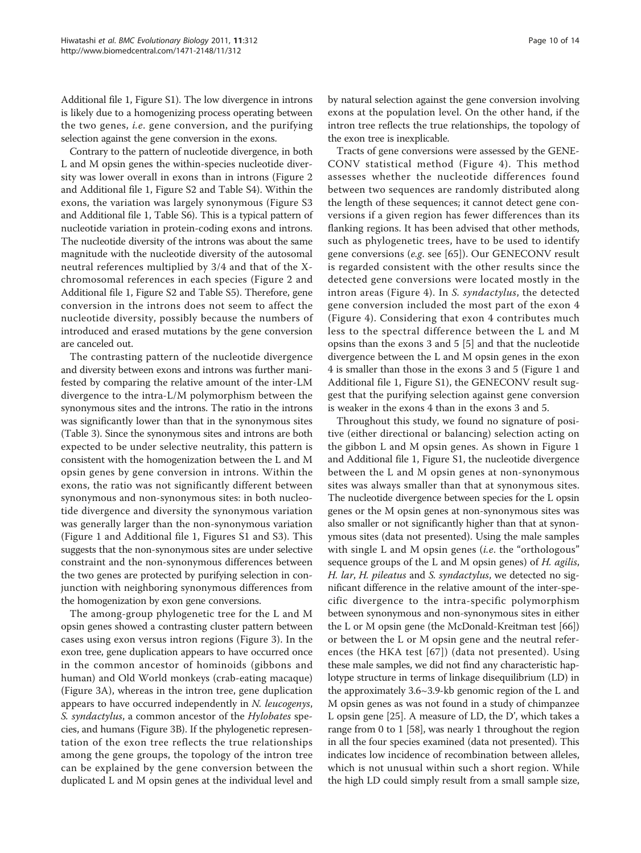Additional file [1,](#page-10-0) Figure S1). The low divergence in introns is likely due to a homogenizing process operating between the two genes, i.e. gene conversion, and the purifying selection against the gene conversion in the exons.

Contrary to the pattern of nucleotide divergence, in both L and M opsin genes the within-species nucleotide diversity was lower overall in exons than in introns (Figure [2](#page-6-0) and Additional file [1,](#page-10-0) Figure S2 and Table S4). Within the exons, the variation was largely synonymous (Figure S3 and Additional file [1,](#page-10-0) Table S6). This is a typical pattern of nucleotide variation in protein-coding exons and introns. The nucleotide diversity of the introns was about the same magnitude with the nucleotide diversity of the autosomal neutral references multiplied by 3/4 and that of the Xchromosomal references in each species (Figure [2](#page-6-0) and Additional file [1](#page-10-0), Figure S2 and Table S5). Therefore, gene conversion in the introns does not seem to affect the nucleotide diversity, possibly because the numbers of introduced and erased mutations by the gene conversion are canceled out.

The contrasting pattern of the nucleotide divergence and diversity between exons and introns was further manifested by comparing the relative amount of the inter-LM divergence to the intra-L/M polymorphism between the synonymous sites and the introns. The ratio in the introns was significantly lower than that in the synonymous sites (Table [3\)](#page-6-0). Since the synonymous sites and introns are both expected to be under selective neutrality, this pattern is consistent with the homogenization between the L and M opsin genes by gene conversion in introns. Within the exons, the ratio was not significantly different between synonymous and non-synonymous sites: in both nucleotide divergence and diversity the synonymous variation was generally larger than the non-synonymous variation (Figure [1](#page-5-0) and Additional file [1,](#page-10-0) Figures S1 and S3). This suggests that the non-synonymous sites are under selective constraint and the non-synonymous differences between the two genes are protected by purifying selection in conjunction with neighboring synonymous differences from the homogenization by exon gene conversions.

The among-group phylogenetic tree for the L and M opsin genes showed a contrasting cluster pattern between cases using exon versus intron regions (Figure [3](#page-7-0)). In the exon tree, gene duplication appears to have occurred once in the common ancestor of hominoids (gibbons and human) and Old World monkeys (crab-eating macaque) (Figure [3A\)](#page-7-0), whereas in the intron tree, gene duplication appears to have occurred independently in N. leucogenys, S. syndactylus, a common ancestor of the Hylobates species, and humans (Figure [3B\)](#page-7-0). If the phylogenetic representation of the exon tree reflects the true relationships among the gene groups, the topology of the intron tree can be explained by the gene conversion between the duplicated L and M opsin genes at the individual level and by natural selection against the gene conversion involving exons at the population level. On the other hand, if the intron tree reflects the true relationships, the topology of the exon tree is inexplicable.

Tracts of gene conversions were assessed by the GENE-CONV statistical method (Figure [4](#page-8-0)). This method assesses whether the nucleotide differences found between two sequences are randomly distributed along the length of these sequences; it cannot detect gene conversions if a given region has fewer differences than its flanking regions. It has been advised that other methods, such as phylogenetic trees, have to be used to identify gene conversions (e.g. see [\[65](#page-12-0)]). Our GENECONV result is regarded consistent with the other results since the detected gene conversions were located mostly in the intron areas (Figure [4\)](#page-8-0). In S. *syndactylus*, the detected gene conversion included the most part of the exon 4 (Figure [4](#page-8-0)). Considering that exon 4 contributes much less to the spectral difference between the L and M opsins than the exons 3 and 5 [[5\]](#page-11-0) and that the nucleotide divergence between the L and M opsin genes in the exon 4 is smaller than those in the exons 3 and 5 (Figure [1](#page-5-0) and Additional file [1,](#page-10-0) Figure S1), the GENECONV result suggest that the purifying selection against gene conversion is weaker in the exons 4 than in the exons 3 and 5.

Throughout this study, we found no signature of positive (either directional or balancing) selection acting on the gibbon L and M opsin genes. As shown in Figure [1](#page-5-0) and Additional file [1](#page-10-0), Figure S1, the nucleotide divergence between the L and M opsin genes at non-synonymous sites was always smaller than that at synonymous sites. The nucleotide divergence between species for the L opsin genes or the M opsin genes at non-synonymous sites was also smaller or not significantly higher than that at synonymous sites (data not presented). Using the male samples with single  $L$  and  $M$  opsin genes (*i.e.* the "orthologous" sequence groups of the L and M opsin genes) of  $H$ . *agilis*, H. lar, H. pileatus and S. syndactylus, we detected no significant difference in the relative amount of the inter-specific divergence to the intra-specific polymorphism between synonymous and non-synonymous sites in either the L or M opsin gene (the McDonald-Kreitman test [[66](#page-12-0)]) or between the L or M opsin gene and the neutral references (the HKA test [\[67\]](#page-12-0)) (data not presented). Using these male samples, we did not find any characteristic haplotype structure in terms of linkage disequilibrium (LD) in the approximately 3.6~3.9-kb genomic region of the L and M opsin genes as was not found in a study of chimpanzee L opsin gene [\[25](#page-11-0)]. A measure of LD, the D', which takes a range from 0 to 1 [[58](#page-12-0)], was nearly 1 throughout the region in all the four species examined (data not presented). This indicates low incidence of recombination between alleles, which is not unusual within such a short region. While the high LD could simply result from a small sample size,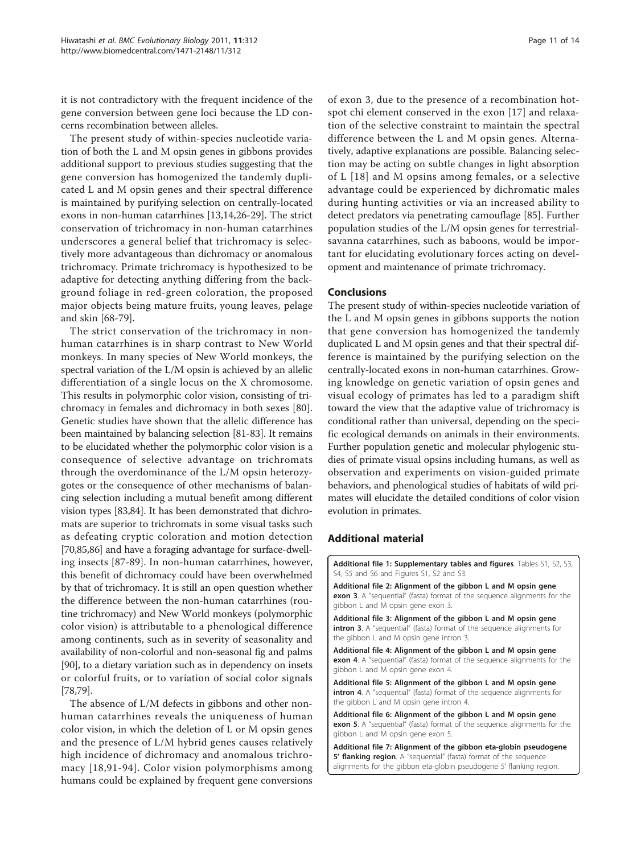<span id="page-10-0"></span>it is not contradictory with the frequent incidence of the gene conversion between gene loci because the LD concerns recombination between alleles.

The present study of within-species nucleotide variation of both the L and M opsin genes in gibbons provides additional support to previous studies suggesting that the gene conversion has homogenized the tandemly duplicated L and M opsin genes and their spectral difference is maintained by purifying selection on centrally-located exons in non-human catarrhines [[13](#page-11-0),[14](#page-11-0),[26](#page-11-0)-[29\]](#page-11-0). The strict conservation of trichromacy in non-human catarrhines underscores a general belief that trichromacy is selectively more advantageous than dichromacy or anomalous trichromacy. Primate trichromacy is hypothesized to be adaptive for detecting anything differing from the background foliage in red-green coloration, the proposed major objects being mature fruits, young leaves, pelage and skin [[68-79\]](#page-12-0).

The strict conservation of the trichromacy in nonhuman catarrhines is in sharp contrast to New World monkeys. In many species of New World monkeys, the spectral variation of the L/M opsin is achieved by an allelic differentiation of a single locus on the X chromosome. This results in polymorphic color vision, consisting of trichromacy in females and dichromacy in both sexes [\[80](#page-12-0)]. Genetic studies have shown that the allelic difference has been maintained by balancing selection [\[81-83\]](#page-12-0). It remains to be elucidated whether the polymorphic color vision is a consequence of selective advantage on trichromats through the overdominance of the L/M opsin heterozygotes or the consequence of other mechanisms of balancing selection including a mutual benefit among different vision types [\[83,84](#page-12-0)]. It has been demonstrated that dichromats are superior to trichromats in some visual tasks such as defeating cryptic coloration and motion detection [[70](#page-12-0)[,85,86\]](#page-13-0) and have a foraging advantage for surface-dwelling insects [[87-89](#page-13-0)]. In non-human catarrhines, however, this benefit of dichromacy could have been overwhelmed by that of trichromacy. It is still an open question whether the difference between the non-human catarrhines (routine trichromacy) and New World monkeys (polymorphic color vision) is attributable to a phenological difference among continents, such as in severity of seasonality and availability of non-colorful and non-seasonal fig and palms [[90](#page-13-0)], to a dietary variation such as in dependency on insets or colorful fruits, or to variation of social color signals [[78,79\]](#page-12-0).

The absence of L/M defects in gibbons and other nonhuman catarrhines reveals the uniqueness of human color vision, in which the deletion of L or M opsin genes and the presence of L/M hybrid genes causes relatively high incidence of dichromacy and anomalous trichromacy [[18,](#page-11-0)[91-94](#page-13-0)]. Color vision polymorphisms among humans could be explained by frequent gene conversions of exon 3, due to the presence of a recombination hotspot chi element conserved in the exon [[17\]](#page-11-0) and relaxation of the selective constraint to maintain the spectral difference between the L and M opsin genes. Alternatively, adaptive explanations are possible. Balancing selection may be acting on subtle changes in light absorption of L [[18\]](#page-11-0) and M opsins among females, or a selective advantage could be experienced by dichromatic males during hunting activities or via an increased ability to detect predators via penetrating camouflage [[85\]](#page-13-0). Further population studies of the L/M opsin genes for terrestrialsavanna catarrhines, such as baboons, would be important for elucidating evolutionary forces acting on development and maintenance of primate trichromacy.

#### **Conclusions**

The present study of within-species nucleotide variation of the L and M opsin genes in gibbons supports the notion that gene conversion has homogenized the tandemly duplicated L and M opsin genes and that their spectral difference is maintained by the purifying selection on the centrally-located exons in non-human catarrhines. Growing knowledge on genetic variation of opsin genes and visual ecology of primates has led to a paradigm shift toward the view that the adaptive value of trichromacy is conditional rather than universal, depending on the specific ecological demands on animals in their environments. Further population genetic and molecular phylogenic studies of primate visual opsins including humans, as well as observation and experiments on vision-guided primate behaviors, and phenological studies of habitats of wild primates will elucidate the detailed conditions of color vision evolution in primates.

#### Additional material

[Additional file 1: S](http://www.biomedcentral.com/content/supplementary/1471-2148-11-312-S1.PDF)upplementary tables and figures. Tables S1, S2, S3, S4, S5 and S6 and Figures S1, S2 and S3.

[Additional file 2: A](http://www.biomedcentral.com/content/supplementary/1471-2148-11-312-S2.TXT)lignment of the gibbon L and M opsin gene exon 3. A "sequential" (fasta) format of the sequence alignments for the gibbon L and M opsin gene exon 3.

[Additional file 3: A](http://www.biomedcentral.com/content/supplementary/1471-2148-11-312-S3.TXT)lignment of the gibbon L and M opsin gene intron 3. A "sequential" (fasta) format of the sequence alignments for the gibbon L and M opsin gene intron 3.

[Additional file 4: A](http://www.biomedcentral.com/content/supplementary/1471-2148-11-312-S4.TXT)lignment of the gibbon L and M opsin gene exon 4. A "sequential" (fasta) format of the sequence alignments for the gibbon L and M opsin gene exon 4.

[Additional file 5: A](http://www.biomedcentral.com/content/supplementary/1471-2148-11-312-S5.TXT)lignment of the gibbon L and M opsin gene intron 4. A "sequential" (fasta) format of the sequence alignments for the gibbon L and M opsin gene intron 4.

[Additional file 6: A](http://www.biomedcentral.com/content/supplementary/1471-2148-11-312-S6.TXT)lignment of the gibbon L and M opsin gene exon 5. A "sequential" (fasta) format of the sequence alignments for the gibbon L and M opsin gene exon 5.

[Additional file 7: A](http://www.biomedcentral.com/content/supplementary/1471-2148-11-312-S7.TXT)lignment of the gibbon eta-globin pseudogene 5' flanking region. A "sequential" (fasta) format of the sequence alignments for the gibbon eta-globin pseudogene 5' flanking region.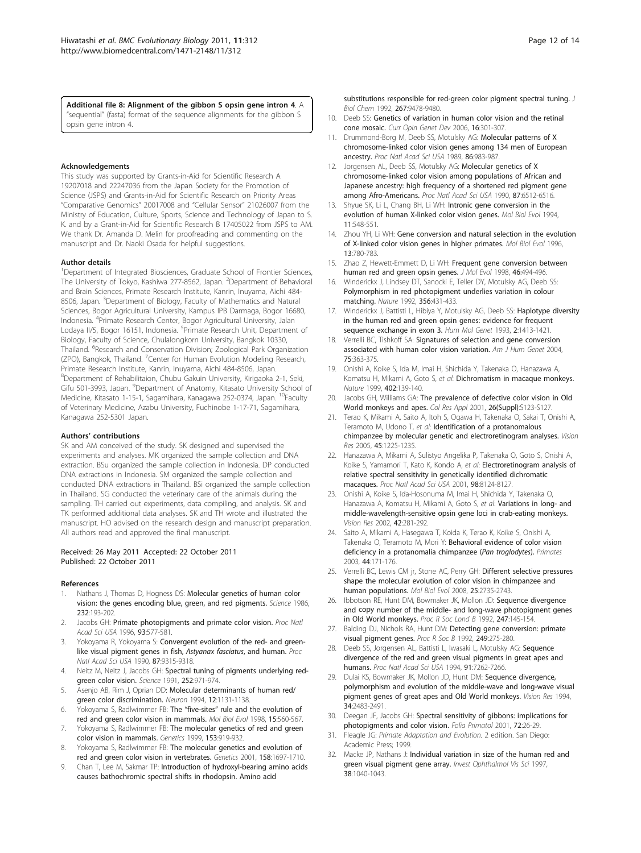<span id="page-11-0"></span>[Additional file 8: A](http://www.biomedcentral.com/content/supplementary/1471-2148-11-312-S8.TXT)lignment of the gibbon S opsin gene intron 4. A "sequential" (fasta) format of the sequence alignments for the gibbon S opsin gene intron 4.

#### Acknowledgements

This study was supported by Grants-in-Aid for Scientific Research A 19207018 and 22247036 from the Japan Society for the Promotion of Science (JSPS) and Grants-in-Aid for Scientific Research on Priority Areas "Comparative Genomics" 20017008 and "Cellular Sensor" 21026007 from the Ministry of Education, Culture, Sports, Science and Technology of Japan to S. K. and by a Grant-in-Aid for Scientific Research B 17405022 from JSPS to AM. We thank Dr. Amanda D. Melin for proofreading and commenting on the manuscript and Dr. Naoki Osada for helpful suggestions.

#### Author details

<sup>1</sup>Department of Integrated Biosciences, Graduate School of Frontier Sciences, The University of Tokyo, Kashiwa 277-8562, Japan. <sup>2</sup>Department of Behavioral and Brain Sciences, Primate Research Institute, Kanrin, Inuyama, Aichi 484- 8506, Japan. <sup>3</sup>Department of Biology, Faculty of Mathematics and Natural Sciences, Bogor Agricultural University, Kampus IPB Darmaga, Bogor 16680, Indonesia. <sup>4</sup> Primate Research Center, Bogor Agricultural University, Jalan Lodaya II/5, Bogor 16151, Indonesia. <sup>5</sup>Primate Research Unit, Department of Biology, Faculty of Science, Chulalongkorn University, Bangkok 10330, Thailand. <sup>6</sup>Research and Conservation Division; Zoological Park Organization (ZPO), Bangkok, Thailand. <sup>7</sup> Center for Human Evolution Modeling Research, Primate Research Institute, Kanrin, Inuyama, Aichi 484-8506, Japan. 8 Department of Rehabilitaion, Chubu Gakuin University, Kirigaoka 2-1, Seki, Gifu 501-3993, Japan. <sup>9</sup>Department of Anatomy, Kitasato University School of Medicine, Kitasato 1-15-1, Sagamihara, Kanagawa 252-0374, Japan. <sup>10</sup>Faculty of Veterinary Medicine, Azabu University, Fuchinobe 1-17-71, Sagamihara, Kanagawa 252-5301 Japan.

#### Authors' contributions

SK and AM conceived of the study. SK designed and supervised the experiments and analyses. MK organized the sample collection and DNA extraction. BSu organized the sample collection in Indonesia. DP conducted DNA extractions in Indonesia. SM organized the sample collection and conducted DNA extractions in Thailand. BSi organized the sample collection in Thailand. SG conducted the veterinary care of the animals during the sampling. TH carried out experiments, data compiling, and analysis. SK and TK performed additional data analyses. SK and TH wrote and illustrated the manuscript. HO advised on the research design and manuscript preparation. All authors read and approved the final manuscript.

#### Received: 26 May 2011 Accepted: 22 October 2011 Published: 22 October 2011

#### References

- 1. Nathans J, Thomas D, Hogness DS: [Molecular genetics of human color](http://www.ncbi.nlm.nih.gov/pubmed/2937147?dopt=Abstract) [vision: the genes encoding blue, green, and red pigments.](http://www.ncbi.nlm.nih.gov/pubmed/2937147?dopt=Abstract) Science 1986, 232:193-202.
- Jacobs GH: [Primate photopigments and primate color vision.](http://www.ncbi.nlm.nih.gov/pubmed/8570598?dopt=Abstract) Proc Natl Acad Sci USA 1996, 93:577-581.
- Yokoyama R, Yokoyama S: [Convergent evolution of the red- and green](http://www.ncbi.nlm.nih.gov/pubmed/2123554?dopt=Abstract)[like visual pigment genes in fish,](http://www.ncbi.nlm.nih.gov/pubmed/2123554?dopt=Abstract) Astyanax fasciatus, and human. Proc Natl Acad Sci USA 1990, 87:9315-9318.
- 4. Neitz M, Neitz J, Jacobs GH: [Spectral tuning of pigments underlying red](http://www.ncbi.nlm.nih.gov/pubmed/1903559?dopt=Abstract)[green color vision.](http://www.ncbi.nlm.nih.gov/pubmed/1903559?dopt=Abstract) Science 1991, 252:971-974.
- 5. Asenjo AB, Rim J, Oprian DD: [Molecular determinants of human red/](http://www.ncbi.nlm.nih.gov/pubmed/8185948?dopt=Abstract) [green color discrimination.](http://www.ncbi.nlm.nih.gov/pubmed/8185948?dopt=Abstract) Neuron 1994, 12:1131-1138.
- 6. Yokoyama S, Radlwimmer FB: The "five-sites" [rule and the evolution of](http://www.ncbi.nlm.nih.gov/pubmed/9580985?dopt=Abstract) [red and green color vision in mammals.](http://www.ncbi.nlm.nih.gov/pubmed/9580985?dopt=Abstract) Mol Biol Evol 1998, 15:560-567.
- 7. Yokoyama S, Radlwimmer FB: [The molecular genetics of red and green](http://www.ncbi.nlm.nih.gov/pubmed/10511567?dopt=Abstract) [color vision in mammals.](http://www.ncbi.nlm.nih.gov/pubmed/10511567?dopt=Abstract) Genetics 1999, 153:919-932.
- 8. Yokoyama S, Radlwimmer FB: [The molecular genetics and evolution of](http://www.ncbi.nlm.nih.gov/pubmed/11545071?dopt=Abstract) [red and green color vision in vertebrates.](http://www.ncbi.nlm.nih.gov/pubmed/11545071?dopt=Abstract) Genetics 2001, 158:1697-1710.
- Chan T, Lee M, Sakmar TP: [Introduction of hydroxyl-bearing amino acids](http://www.ncbi.nlm.nih.gov/pubmed/1577792?dopt=Abstract) [causes bathochromic spectral shifts in rhodopsin. Amino acid](http://www.ncbi.nlm.nih.gov/pubmed/1577792?dopt=Abstract)

[substitutions responsible for red-green color pigment spectral tuning.](http://www.ncbi.nlm.nih.gov/pubmed/1577792?dopt=Abstract) J Biol Chem 1992, 267:9478-9480.

- 10. Deeb SS: [Genetics of variation in human color vision and the retinal](http://www.ncbi.nlm.nih.gov/pubmed/16647849?dopt=Abstract) [cone mosaic.](http://www.ncbi.nlm.nih.gov/pubmed/16647849?dopt=Abstract) Curr Opin Genet Dev 2006, 16:301-307.
- 11. Drummond-Borg M, Deeb SS, Motulsky AG: [Molecular patterns of X](http://www.ncbi.nlm.nih.gov/pubmed/2915991?dopt=Abstract) [chromosome-linked color vision genes among 134 men of European](http://www.ncbi.nlm.nih.gov/pubmed/2915991?dopt=Abstract) [ancestry.](http://www.ncbi.nlm.nih.gov/pubmed/2915991?dopt=Abstract) Proc Natl Acad Sci USA 1989, 86:983-987.
- 12. Jorgensen AL, Deeb SS, Motulsky AG: [Molecular genetics of X](http://www.ncbi.nlm.nih.gov/pubmed/2395857?dopt=Abstract) [chromosome-linked color vision among populations of African and](http://www.ncbi.nlm.nih.gov/pubmed/2395857?dopt=Abstract) [Japanese ancestry: high frequency of a shortened red pigment gene](http://www.ncbi.nlm.nih.gov/pubmed/2395857?dopt=Abstract) [among Afro-Americans.](http://www.ncbi.nlm.nih.gov/pubmed/2395857?dopt=Abstract) Proc Natl Acad Sci USA 1990, 87:6512-6516.
- 13. Shyue SK, Li L, Chang BH, Li WH: [Intronic gene conversion in the](http://www.ncbi.nlm.nih.gov/pubmed/8015447?dopt=Abstract) [evolution of human X-linked color vision genes.](http://www.ncbi.nlm.nih.gov/pubmed/8015447?dopt=Abstract) Mol Biol Evol 1994, 11:548-551.
- 14. Zhou YH, Li WH: Gene conversion [and natural selection in the evolution](http://www.ncbi.nlm.nih.gov/pubmed/8754214?dopt=Abstract) [of X-linked color vision genes in higher primates.](http://www.ncbi.nlm.nih.gov/pubmed/8754214?dopt=Abstract) Mol Biol Evol 1996, 13:780-783.
- 15. Zhao Z, Hewett-Emmett D, Li WH: [Frequent gene conversion between](http://www.ncbi.nlm.nih.gov/pubmed/9541545?dopt=Abstract) [human red and green opsin genes.](http://www.ncbi.nlm.nih.gov/pubmed/9541545?dopt=Abstract) J Mol Evol 1998, 46:494-496.
- 16. Winderickx J, Lindsey DT, Sanocki E, Teller DY, Motulsky AG, Deeb SS: [Polymorphism in red photopigment underlies variation in colour](http://www.ncbi.nlm.nih.gov/pubmed/1557123?dopt=Abstract) [matching.](http://www.ncbi.nlm.nih.gov/pubmed/1557123?dopt=Abstract) Nature 1992, 356:431-433.
- 17. Winderickx J, Battisti L, Hibiya Y, Motulsky AG, Deeb SS: [Haplotype diversity](http://www.ncbi.nlm.nih.gov/pubmed/8242064?dopt=Abstract) [in the human red and green opsin genes: evidence for frequent](http://www.ncbi.nlm.nih.gov/pubmed/8242064?dopt=Abstract) [sequence exchange in exon 3.](http://www.ncbi.nlm.nih.gov/pubmed/8242064?dopt=Abstract) Hum Mol Genet 1993, 2:1413-1421.
- 18. Verrelli BC, Tishkoff SA: [Signatures of selection and gene conversion](http://www.ncbi.nlm.nih.gov/pubmed/15252758?dopt=Abstract) [associated with human color vision variation.](http://www.ncbi.nlm.nih.gov/pubmed/15252758?dopt=Abstract) Am J Hum Genet 2004, 75:363-375.
- 19. Onishi A, Koike S, Ida M, Imai H, Shichida Y, Takenaka O, Hanazawa A, Komatsu H, Mikami A, Goto S, et al: [Dichromatism in macaque monkeys.](http://www.ncbi.nlm.nih.gov/pubmed/10647004?dopt=Abstract) Nature 1999, 402:139-140.
- Jacobs GH, Williams GA: The prevalence of defective color vision in Old World monkeys and apes. Col Res Appl 2001, 26(Suppl):S123-S127.
- 21. Terao K, Mikami A, Saito A, Itoh S, Ogawa H, Takenaka O, Sakai T, Onishi A, Teramoto M, Udono T, et al: [Identification of a protanomalous](http://www.ncbi.nlm.nih.gov/pubmed/15733956?dopt=Abstract) [chimpanzee by molecular genetic and electroretinogram analyses.](http://www.ncbi.nlm.nih.gov/pubmed/15733956?dopt=Abstract) Vision Res 2005, 45:1225-1235.
- 22. Hanazawa A, Mikami A, Sulistyo Angelika P, Takenaka O, Goto S, Onishi A, Koike S, Yamamori T, Kato K, Kondo A, et al: [Electroretinogram analysis of](http://www.ncbi.nlm.nih.gov/pubmed/11427736?dopt=Abstract) [relative spectral sensitivity in genetically identified dichromatic](http://www.ncbi.nlm.nih.gov/pubmed/11427736?dopt=Abstract) [macaques.](http://www.ncbi.nlm.nih.gov/pubmed/11427736?dopt=Abstract) Proc Natl Acad Sci USA 2001, 98:8124-8127.
- 23. Onishi A, Koike S, Ida-Hosonuma M, Imai H, Shichida Y, Takenaka O, Hanazawa A, Komatsu H, Mikami A, Goto S, et al: [Variations in long- and](http://www.ncbi.nlm.nih.gov/pubmed/11809481?dopt=Abstract) [middle-wavelength-sensitive opsin gene loci in crab-eating monkeys.](http://www.ncbi.nlm.nih.gov/pubmed/11809481?dopt=Abstract) Vision Res 2002, 42:281-292.
- 24. Saito A, Mikami A, Hasegawa T, Koida K, Terao K, Koike S, Onishi A, Takenaka O, Teramoto M, Mori Y: [Behavioral evidence of color vision](http://www.ncbi.nlm.nih.gov/pubmed/12687482?dopt=Abstract) [deficiency in a protanomalia chimpanzee \(](http://www.ncbi.nlm.nih.gov/pubmed/12687482?dopt=Abstract)Pan troglodytes). Primates 2003, 44:171-176.
- 25. Verrelli BC, Lewis CM jr, Stone AC, Perry GH: [Different selective pressures](http://www.ncbi.nlm.nih.gov/pubmed/18832077?dopt=Abstract) [shape the molecular evolution of color vision in chimpanzee and](http://www.ncbi.nlm.nih.gov/pubmed/18832077?dopt=Abstract) [human populations.](http://www.ncbi.nlm.nih.gov/pubmed/18832077?dopt=Abstract) Mol Biol Evol 2008, 25:2735-2743.
- 26. Ibbotson RE, Hunt DM, Bowmaker JK, Mollon JD: Sequence divergence and copy number of the middle- and long-wave photopigment genes in Old World monkeys. Proc R Soc Lond B 1992, 247:145-154.
- 27. Balding DJ, Nichols RA, Hunt DM: [Detecting gene conversion: primate](http://www.ncbi.nlm.nih.gov/pubmed/1359557?dopt=Abstract) [visual pigment genes.](http://www.ncbi.nlm.nih.gov/pubmed/1359557?dopt=Abstract) Proc R Soc B 1992, 249:275-280.
- 28. Deeb SS, Jorgensen AL, Battisti L, Iwasaki L, Motulsky AG: [Sequence](http://www.ncbi.nlm.nih.gov/pubmed/8041777?dopt=Abstract) [divergence of the red and green visual pigments in great apes and](http://www.ncbi.nlm.nih.gov/pubmed/8041777?dopt=Abstract) [humans.](http://www.ncbi.nlm.nih.gov/pubmed/8041777?dopt=Abstract) Proc Natl Acad Sci USA 1994, 91:7262-7266.
- 29. Dulai KS, Bowmaker JK, Mollon JD, Hunt DM: [Sequence divergence,](http://www.ncbi.nlm.nih.gov/pubmed/7975287?dopt=Abstract) [polymorphism and evolution of the middle-wave and long-wave visual](http://www.ncbi.nlm.nih.gov/pubmed/7975287?dopt=Abstract) [pigment genes of great apes and Old World monkeys.](http://www.ncbi.nlm.nih.gov/pubmed/7975287?dopt=Abstract) Vision Res 1994, 34:2483-2491.
- 30. Deegan JF, Jacobs GH: [Spectral sensitivity of gibbons: implications for](http://www.ncbi.nlm.nih.gov/pubmed/11275745?dopt=Abstract) [photopigments and color vision.](http://www.ncbi.nlm.nih.gov/pubmed/11275745?dopt=Abstract) Folia Primatol 2001, 72:26-29.
- 31. Fleagle JG: Primate Adaptation and Evolution. 2 edition. San Diego: Academic Press; 1999.
- 32. Macke JP, Nathans J: [Individual variation in size of the human red and](http://www.ncbi.nlm.nih.gov/pubmed/9113000?dopt=Abstract) [green visual pigment gene array.](http://www.ncbi.nlm.nih.gov/pubmed/9113000?dopt=Abstract) Invest Ophthalmol Vis Sci 1997, 38:1040-1043.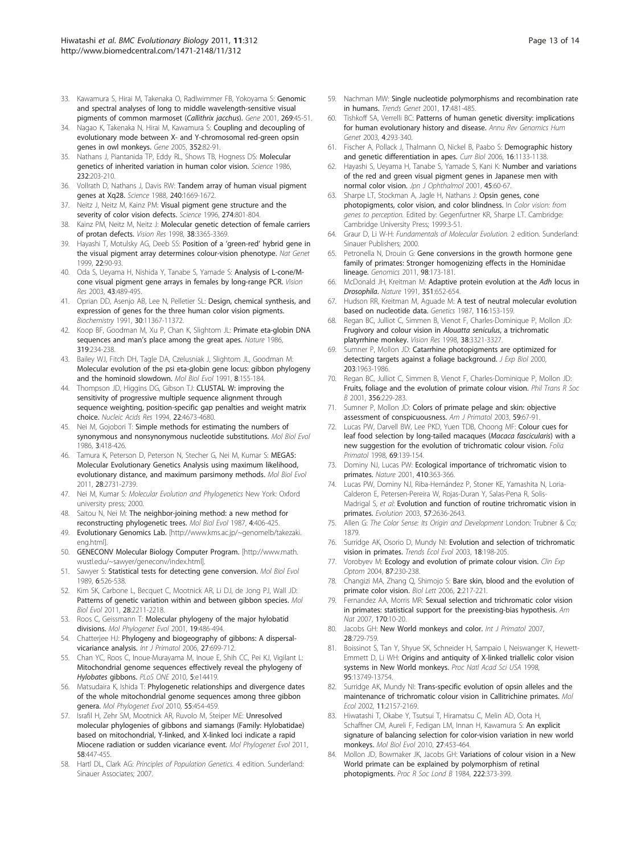- <span id="page-12-0"></span>33. Kawamura S, Hirai M, Takenaka O, Radlwimmer FB, Yokoyama S: [Genomic](http://www.ncbi.nlm.nih.gov/pubmed/11376936?dopt=Abstract) [and spectral analyses of long to middle wavelength-sensitive visual](http://www.ncbi.nlm.nih.gov/pubmed/11376936?dopt=Abstract) [pigments of common marmoset \(](http://www.ncbi.nlm.nih.gov/pubmed/11376936?dopt=Abstract)Callithrix jacchus). Gene 2001, 269:45-51.
- 34. Nagao K, Takenaka N, Hirai M, Kawamura S: [Coupling and decoupling of](http://www.ncbi.nlm.nih.gov/pubmed/15922519?dopt=Abstract) [evolutionary mode between X- and Y-chromosomal red-green opsin](http://www.ncbi.nlm.nih.gov/pubmed/15922519?dopt=Abstract) [genes in owl monkeys.](http://www.ncbi.nlm.nih.gov/pubmed/15922519?dopt=Abstract) Gene 2005, 352:82-91.
- 35. Nathans J, Piantanida TP, Eddy RL, Shows TB, Hogness DS: [Molecular](http://www.ncbi.nlm.nih.gov/pubmed/3485310?dopt=Abstract) [genetics of inherited variation in human color vision.](http://www.ncbi.nlm.nih.gov/pubmed/3485310?dopt=Abstract) Science 1986, 232:203-210.
- 36. Vollrath D, Nathans J, Davis RW: [Tandem array of human visual pigment](http://www.ncbi.nlm.nih.gov/pubmed/2837827?dopt=Abstract) [genes at Xq28.](http://www.ncbi.nlm.nih.gov/pubmed/2837827?dopt=Abstract) Science 1988, 240:1669-1672.
- 37. Neitz J, Neitz M, Kainz PM: [Visual pigment gene structure and the](http://www.ncbi.nlm.nih.gov/pubmed/8864125?dopt=Abstract) [severity of color vision defects.](http://www.ncbi.nlm.nih.gov/pubmed/8864125?dopt=Abstract) Science 1996, 274:801-804.
- 38. Kainz PM, Neitz M, Neitz J: [Molecular genetic detection of female carriers](http://www.ncbi.nlm.nih.gov/pubmed/9893850?dopt=Abstract) [of protan defects.](http://www.ncbi.nlm.nih.gov/pubmed/9893850?dopt=Abstract) Vision Res 1998, 38:3365-3369.
- 39. Hayashi T, Motulsky AG, Deeb SS: Position of a 'green-red' [hybrid gene in](http://www.ncbi.nlm.nih.gov/pubmed/10319869?dopt=Abstract) [the visual pigment array determines colour-vision phenotype.](http://www.ncbi.nlm.nih.gov/pubmed/10319869?dopt=Abstract) Nat Genet 1999, 22:90-93.
- 40. Oda S, Ueyama H, Nishida Y, Tanabe S, Yamade S: [Analysis of L-cone/M](http://www.ncbi.nlm.nih.gov/pubmed/12594995?dopt=Abstract)[cone visual pigment gene arrays in females by long-range PCR.](http://www.ncbi.nlm.nih.gov/pubmed/12594995?dopt=Abstract) Vision Res 2003, 43:489-495.
- 41. Oprian DD, Asenjo AB, Lee N, Pelletier SL: [Design, chemical synthesis, and](http://www.ncbi.nlm.nih.gov/pubmed/1742276?dopt=Abstract) [expression of genes for the three human color vision pigments.](http://www.ncbi.nlm.nih.gov/pubmed/1742276?dopt=Abstract) Biochemistry 1991, 30:11367-11372.
- 42. Koop BF, Goodman M, Xu P, Chan K, Slightom JL: [Primate eta-globin DNA](http://www.ncbi.nlm.nih.gov/pubmed/3945312?dopt=Abstract) sequences and man'[s place among the great apes.](http://www.ncbi.nlm.nih.gov/pubmed/3945312?dopt=Abstract) Nature 1986, 319:234-238.
- 43. Bailey WJ, Fitch DH, Tagle DA, Czelusniak J, Slightom JL, Goodman M: [Molecular evolution of the psi eta-globin gene locus: gibbon phylogeny](http://www.ncbi.nlm.nih.gov/pubmed/2046542?dopt=Abstract) [and the hominoid slowdown.](http://www.ncbi.nlm.nih.gov/pubmed/2046542?dopt=Abstract) Mol Biol Evol 1991, 8:155-184.
- 44. Thompson JD, Higgins DG, Gibson TJ: [CLUSTAL W: improving the](http://www.ncbi.nlm.nih.gov/pubmed/7984417?dopt=Abstract) [sensitivity of progressive multiple sequence alignment through](http://www.ncbi.nlm.nih.gov/pubmed/7984417?dopt=Abstract) [sequence weighting, position-specific gap penalties and weight matrix](http://www.ncbi.nlm.nih.gov/pubmed/7984417?dopt=Abstract) [choice.](http://www.ncbi.nlm.nih.gov/pubmed/7984417?dopt=Abstract) Nucleic Acids Res 1994, 22:4673-4680.
- 45. Nei M, Gojobori T: [Simple methods for estimating the numbers of](http://www.ncbi.nlm.nih.gov/pubmed/3444411?dopt=Abstract) [synonymous and nonsynonymous nucleotide substitutions.](http://www.ncbi.nlm.nih.gov/pubmed/3444411?dopt=Abstract) Mol Biol Evol 1986, 3:418-426.
- 46. Tamura K, Peterson D, Peterson N, Stecher G, Nei M, Kumar S: [MEGA5:](http://www.ncbi.nlm.nih.gov/pubmed/21546353?dopt=Abstract) [Molecular Evolutionary Genetics Analysis using maximum likelihood,](http://www.ncbi.nlm.nih.gov/pubmed/21546353?dopt=Abstract) evolutionary distance, [and maximum parsimony methods.](http://www.ncbi.nlm.nih.gov/pubmed/21546353?dopt=Abstract) Mol Biol Evol 2011, 28:2731-2739.
- 47. Nei M, Kumar S: Molecular Evolution and Phylogenetics New York: Oxford university press; 2000.
- 48. Saitou N, Nei M: [The neighbor-joining method: a new method for](http://www.ncbi.nlm.nih.gov/pubmed/3447015?dopt=Abstract) [reconstructing phylogenetic trees.](http://www.ncbi.nlm.nih.gov/pubmed/3447015?dopt=Abstract) Mol Biol Evol 1987, 4:406-425.
- 49. Evolutionary Genomics Lab. [[http://www.kms.ac.jp/~genomelb/takezaki.](http://www.kms.ac.jp/~genomelb/takezaki.eng.html) [eng.html\]](http://www.kms.ac.jp/~genomelb/takezaki.eng.html).
- 50. GENECONV Molecular Biology Computer Program. [[http://www.math.](http://www.math.wustl.edu/~sawyer/geneconv/index.html) [wustl.edu/~sawyer/geneconv/index.html\]](http://www.math.wustl.edu/~sawyer/geneconv/index.html).
- 51. Sawyer S: [Statistical tests for detecting gene conversion.](http://www.ncbi.nlm.nih.gov/pubmed/2677599?dopt=Abstract) Mol Biol Evol 1989, 6:526-538.
- 52. Kim SK, Carbone L, Becquet C, Mootnick AR, Li DJ, de Jong PJ, Wall JD: [Patterns of genetic variation within and between gibbon species.](http://www.ncbi.nlm.nih.gov/pubmed/21368318?dopt=Abstract) Mol Biol Evol 2011, 28:2211-2218.
- 53. Roos C, Geissmann T: [Molecular phylogeny of the major hylobatid](http://www.ncbi.nlm.nih.gov/pubmed/11399155?dopt=Abstract) [divisions.](http://www.ncbi.nlm.nih.gov/pubmed/11399155?dopt=Abstract) Mol Phylogenet Evol 2001, 19:486-494.
- 54. Chatterjee HJ: Phylogeny and biogeography of gibbons: A dispersalvicariance analysis. Int J Primatol 2006, 27:699-712.
- 55. Chan YC, Roos C, Inoue-Murayama M, Inoue E, Shih CC, Pei KJ, Vigilant L: [Mitochondrial genome sequences effectively reveal the phylogeny of](http://www.ncbi.nlm.nih.gov/pubmed/21203450?dopt=Abstract) [Hylobates](http://www.ncbi.nlm.nih.gov/pubmed/21203450?dopt=Abstract) gibbons. PLoS ONE 2010, 5:e14419.
- 56. Matsudaira K, Ishida T: [Phylogenetic relationships and divergence dates](http://www.ncbi.nlm.nih.gov/pubmed/20138221?dopt=Abstract) [of the whole mitochondrial genome sequences among three gibbon](http://www.ncbi.nlm.nih.gov/pubmed/20138221?dopt=Abstract) [genera.](http://www.ncbi.nlm.nih.gov/pubmed/20138221?dopt=Abstract) Mol Phylogenet Evol 2010, 55:454-459.
- 57. Israfil H, Zehr SM, Mootnick AR, Ruvolo M, Steiper ME: [Unresolved](http://www.ncbi.nlm.nih.gov/pubmed/21074627?dopt=Abstract) [molecular phylogenies of gibbons and siamangs \(Family: Hylobatidae\)](http://www.ncbi.nlm.nih.gov/pubmed/21074627?dopt=Abstract) [based on mitochondrial, Y-linked, and X-linked loci indicate a rapid](http://www.ncbi.nlm.nih.gov/pubmed/21074627?dopt=Abstract) [Miocene radiation or sudden vicariance event.](http://www.ncbi.nlm.nih.gov/pubmed/21074627?dopt=Abstract) Mol Phylogenet Evol 2011, 58:447-455.
- 58. Hartl DL, Clark AG: Principles of Population Genetics. 4 edition. Sunderland: Sinauer Associates; 2007.
- 59. Nachman MW: [Single nucleotide polymorphisms and recombination rate](http://www.ncbi.nlm.nih.gov/pubmed/11525814?dopt=Abstract) [in humans.](http://www.ncbi.nlm.nih.gov/pubmed/11525814?dopt=Abstract) Trends Genet 2001, 17:481-485.
- 60. Tishkoff SA, Verrelli BC: [Patterns of human genetic diversity: implications](http://www.ncbi.nlm.nih.gov/pubmed/14527305?dopt=Abstract) [for human evolutionary history and disease.](http://www.ncbi.nlm.nih.gov/pubmed/14527305?dopt=Abstract) Annu Rev Genomics Hum Genet 2003, 4:293-340.
- 61. Fischer A, Pollack J, Thalmann O, Nickel B, Paabo S: [Demographic history](http://www.ncbi.nlm.nih.gov/pubmed/16753568?dopt=Abstract) [and genetic differentiation in apes.](http://www.ncbi.nlm.nih.gov/pubmed/16753568?dopt=Abstract) Curr Biol 2006, 16:1133-1138.
- 62. Hayashi S, Ueyama H, Tanabe S, Yamade S, Kani K: [Number and variations](http://www.ncbi.nlm.nih.gov/pubmed/11163047?dopt=Abstract) of the [red and green visual pigment genes in Japanese men with](http://www.ncbi.nlm.nih.gov/pubmed/11163047?dopt=Abstract) [normal color vision.](http://www.ncbi.nlm.nih.gov/pubmed/11163047?dopt=Abstract) Jpn J Ophthalmol 2001, 45:60-67.
- 63. Sharpe LT, Stockman A, Jagle H, Nathans J: Opsin genes, cone photopigments, color vision, and color blindness. In Color vision: from genes to perception. Edited by: Gegenfurtner KR, Sharpe LT. Cambridge: Cambridge University Press; 1999:3-51.
- 64. Graur D, Li W-H: Fundamentals of Molecular Evolution. 2 edition. Sunderland: Sinauer Publishers; 2000.
- 65. Petronella N, Drouin G: [Gene conversions in the growth hormone gene](http://www.ncbi.nlm.nih.gov/pubmed/21683133?dopt=Abstract) [family of primates: Stronger homogenizing effects in the Hominidae](http://www.ncbi.nlm.nih.gov/pubmed/21683133?dopt=Abstract) [lineage.](http://www.ncbi.nlm.nih.gov/pubmed/21683133?dopt=Abstract) Genomics 2011, 98:173-181.
- 66. McDonald JH, Kreitman M: [Adaptive protein evolution at the](http://www.ncbi.nlm.nih.gov/pubmed/1904993?dopt=Abstract) Adh locus in [Drosophila](http://www.ncbi.nlm.nih.gov/pubmed/1904993?dopt=Abstract). Nature 1991, 351:652-654.
- 67. Hudson RR, Kreitman M, Aguade M: [A test of neutral molecular evolution](http://www.ncbi.nlm.nih.gov/pubmed/3110004?dopt=Abstract) [based on nucleotide data.](http://www.ncbi.nlm.nih.gov/pubmed/3110004?dopt=Abstract) Genetics 1987, 116:153-159.
- 68. Regan BC, Julliot C, Simmen B, Vienot F, Charles-Dominique P, Mollon JD: [Frugivory and colour vision in](http://www.ncbi.nlm.nih.gov/pubmed/9893844?dopt=Abstract) Alouatta seniculus, a trichromatic [platyrrhine monkey.](http://www.ncbi.nlm.nih.gov/pubmed/9893844?dopt=Abstract) Vision Res 1998, 38:3321-3327.
- Sumner P, Mollon JD: [Catarrhine photopigments are optimized for](http://www.ncbi.nlm.nih.gov/pubmed/10851115?dopt=Abstract) [detecting targets against a foliage background.](http://www.ncbi.nlm.nih.gov/pubmed/10851115?dopt=Abstract) J Exp Biol 2000, 203:1963-1986.
- 70. Regan BC, Julliot C, Simmen B, Vienot F, Charles-Dominique P, Mollon JD: [Fruits, foliage and the evolution of primate colour vision.](http://www.ncbi.nlm.nih.gov/pubmed/11316480?dopt=Abstract) Phil Trans R Soc B 2001, 356:229-283.
- 71. Sumner P, Mollon JD: [Colors of primate pelage and skin: objective](http://www.ncbi.nlm.nih.gov/pubmed/12619048?dopt=Abstract) [assessment of conspicuousness.](http://www.ncbi.nlm.nih.gov/pubmed/12619048?dopt=Abstract) Am J Primatol 2003, 59:67-91.
- 72. Lucas PW, Darvell BW, Lee PKD, Yuen TDB, Choong MF: [Colour cues for](http://www.ncbi.nlm.nih.gov/pubmed/9595683?dopt=Abstract) [leaf food selection by long-tailed macaques \(](http://www.ncbi.nlm.nih.gov/pubmed/9595683?dopt=Abstract)Macaca fascicularis) with a [new suggestion for the evolution of trichromatic colour vision.](http://www.ncbi.nlm.nih.gov/pubmed/9595683?dopt=Abstract) Folia Primatol 1998, 69:139-154.
- 73. Dominy NJ, Lucas PW: [Ecological importance of trichromatic vision to](http://www.ncbi.nlm.nih.gov/pubmed/11268211?dopt=Abstract) [primates.](http://www.ncbi.nlm.nih.gov/pubmed/11268211?dopt=Abstract) Nature 2001, 410:363-366.
- 74. Lucas PW, Dominy NJ, Riba-Hernández P, Stoner KE, Yamashita N, Loria-Calderon E, Petersen-Pereira W, Rojas-Duran Y, Salas-Pena R, Solis-Madrigal S, et al: [Evolution and function of routine trichromatic vision in](http://www.ncbi.nlm.nih.gov/pubmed/14686538?dopt=Abstract) [primates.](http://www.ncbi.nlm.nih.gov/pubmed/14686538?dopt=Abstract) Evolution 2003, 57:2636-2643.
- 75. Allen G: The Color Sense: Its Origin and Development London: Trubner & Co; 1879.
- 76. Surridge AK, Osorio D, Mundy NI: Evolution and selection of trichromatic vision in primates. Trends Ecol Evol 2003, 18:198-205.
- 77. Vorobyev M: [Ecology and evolution of primate colour vision.](http://www.ncbi.nlm.nih.gov/pubmed/15312027?dopt=Abstract) Clin Exp Optom 2004, 87:230-238.
- 78. Changizi MA, Zhang Q, Shimojo S: [Bare skin, blood and the evolution of](http://www.ncbi.nlm.nih.gov/pubmed/17148366?dopt=Abstract) [primate color vision.](http://www.ncbi.nlm.nih.gov/pubmed/17148366?dopt=Abstract) Biol Lett 2006, 2:217-221.
- Fernandez AA, Morris MR: [Sexual selection and trichromatic color vision](http://www.ncbi.nlm.nih.gov/pubmed/17853988?dopt=Abstract) [in primates: statistical support for the preexisting-bias hypothesis.](http://www.ncbi.nlm.nih.gov/pubmed/17853988?dopt=Abstract) Am Nat 2007, 170:10-20.
- 80. Jacobs GH: New World monkeys and color. Int J Primatol 2007, 28:729-759.
- 81. Boissinot S, Tan Y, Shyue SK, Schneider H, Sampaio I, Neiswanger K, Hewett-Emmett D, Li WH: [Origins and antiquity of X-linked triallelic color vision](http://www.ncbi.nlm.nih.gov/pubmed/9811872?dopt=Abstract) [systems in New World monkeys.](http://www.ncbi.nlm.nih.gov/pubmed/9811872?dopt=Abstract) Proc Natl Acad Sci USA 1998, 95:13749-13754.
- 82. Surridge AK, Mundy NI: [Trans-specific evolution of opsin alleles and the](http://www.ncbi.nlm.nih.gov/pubmed/12296957?dopt=Abstract) [maintenance of trichromatic colour vision in Callitrichine primates.](http://www.ncbi.nlm.nih.gov/pubmed/12296957?dopt=Abstract) Mol Ecol 2002, 11:2157-2169.
- Hiwatashi T, Okabe Y, Tsutsui T, Hiramatsu C, Melin AD, Oota H, Schaffner CM, Aureli F, Fedigan LM, Innan H, Kawamura S: [An explicit](http://www.ncbi.nlm.nih.gov/pubmed/19861643?dopt=Abstract) [signature of balancing selection for color-vision variation in new world](http://www.ncbi.nlm.nih.gov/pubmed/19861643?dopt=Abstract) [monkeys.](http://www.ncbi.nlm.nih.gov/pubmed/19861643?dopt=Abstract) Mol Biol Evol 2010, 27:453-464.
- Mollon JD, Bowmaker JK, Jacobs GH: [Variations of colour vision in a New](http://www.ncbi.nlm.nih.gov/pubmed/6149558?dopt=Abstract) [World primate can be explained by polymorphism of retinal](http://www.ncbi.nlm.nih.gov/pubmed/6149558?dopt=Abstract) [photopigments.](http://www.ncbi.nlm.nih.gov/pubmed/6149558?dopt=Abstract) Proc R Soc Lond B 1984, 222:373-399.